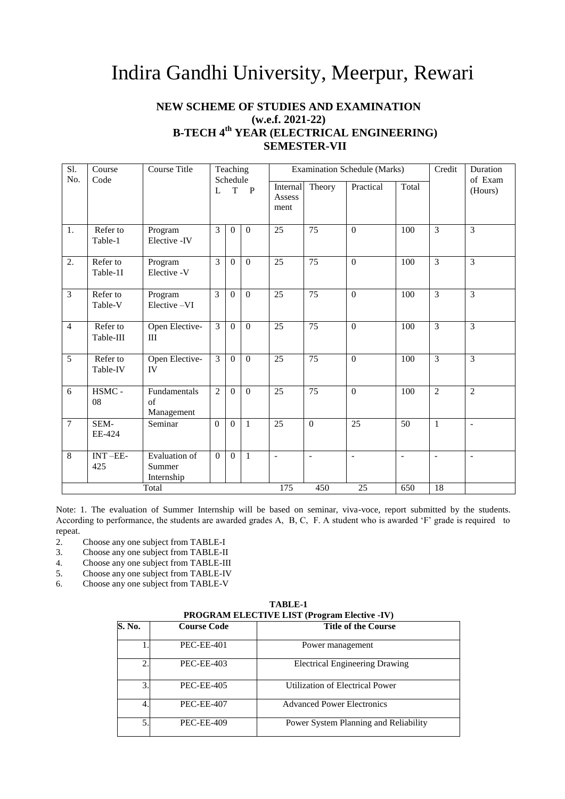## Indira Gandhi University, Meerpur, Rewari

### **NEW SCHEME OF STUDIES AND EXAMINATION (w.e.f. 2021-22) B-TECH 4th YEAR (ELECTRICAL ENGINEERING) SEMESTER-VII**

| Sl.<br>Course Title<br>Teaching<br>Course<br>No.<br>Schedule<br>Code |                       |                                       |                |             |                | Examination Schedule (Marks) |                          | Credit                   | Duration<br>of Exam      |                          |                          |
|----------------------------------------------------------------------|-----------------------|---------------------------------------|----------------|-------------|----------------|------------------------------|--------------------------|--------------------------|--------------------------|--------------------------|--------------------------|
|                                                                      |                       |                                       | L              | $\mathbf T$ | $\mathbf{P}$   | Internal<br>Assess<br>ment   | Theory                   | Practical                | Total                    |                          | (Hours)                  |
| 1.                                                                   | Refer to<br>Table-1   | Program<br>Elective -IV               | 3              | $\Omega$    | $\theta$       | 25                           | $\overline{75}$          | $\boldsymbol{0}$         | 100                      | $\overline{3}$           | $\overline{3}$           |
| 2.                                                                   | Refer to<br>Table-1I  | Program<br>Elective -V                | 3              | $\Omega$    | $\theta$       | $\overline{25}$              | 75                       | $\Omega$                 | 100                      | $\overline{3}$           | $\overline{3}$           |
| $\overline{3}$                                                       | Refer to<br>Table-V   | Program<br>Elective-VI                | $\overline{3}$ | $\Omega$    | $\mathbf{0}$   | 25                           | $\overline{75}$          | $\overline{0}$           | 100                      | $\overline{3}$           | $\overline{\mathbf{3}}$  |
| $\overline{4}$                                                       | Refer to<br>Table-III | Open Elective-<br>III                 | $\mathfrak{Z}$ | $\Omega$    | $\mathbf{0}$   | 25                           | 75                       | $\overline{0}$           | 100                      | $\overline{3}$           | $\overline{3}$           |
| $\overline{5}$                                                       | Refer to<br>Table-IV  | Open Elective-<br>IV                  | $\overline{3}$ | $\Omega$    | $\overline{0}$ | 25                           | 75                       | $\Omega$                 | 100                      | $\overline{3}$           | $\overline{3}$           |
| 6                                                                    | HSMC -<br>08          | Fundamentals<br>of<br>Management      | $\overline{2}$ | $\Omega$    | $\mathbf{0}$   | $\overline{25}$              | $\overline{75}$          | $\overline{0}$           | 100                      | $\overline{2}$           | $\overline{2}$           |
| $\overline{7}$                                                       | SEM-<br>EE-424        | Seminar                               | $\Omega$       | $\Omega$    | $\mathbf{1}$   | $\overline{25}$              | $\theta$                 | $\overline{25}$          | 50                       | $\mathbf{1}$             | $\equiv$                 |
| 8                                                                    | $INT - EE$<br>425     | Evaluation of<br>Summer<br>Internship | $\Omega$       | $\theta$    | $\mathbf{1}$   | $\Box$                       | $\overline{\phantom{a}}$ | $\overline{\phantom{a}}$ | $\overline{\phantom{a}}$ | $\overline{\phantom{a}}$ | $\overline{\phantom{a}}$ |
|                                                                      |                       | Total                                 |                |             |                | 175                          | 450                      | $\overline{25}$          | 650                      | 18                       |                          |

Note: 1. The evaluation of Summer Internship will be based on seminar, viva-voce, report submitted by the students. According to performance, the students are awarded grades A, B, C, F. A student who is awarded 'F' grade is required to repeat.

- 2. Choose any one subject from TABLE-I<br>3. Choose any one subject from TABLE-II
- Choose any one subject from TABLE-II
- 4. Choose any one subject from TABLE-III<br>5. Choose any one subject from TABLE-IV
- 5. Choose any one subject from TABLE-IV
- 6. Choose any one subject from TABLE-V

| <b>TABLE-1</b>                                      |
|-----------------------------------------------------|
| <b>PROGRAM ELECTIVE LIST (Program Elective -IV)</b> |

|        | I ROGRAM ELECTIVE LIST (FIGHERICHI) |                                       |  |  |  |  |  |  |  |  |
|--------|-------------------------------------|---------------------------------------|--|--|--|--|--|--|--|--|
| S. No. | <b>Course Code</b>                  | <b>Title of the Course</b>            |  |  |  |  |  |  |  |  |
|        | <b>PEC-EE-401</b>                   | Power management                      |  |  |  |  |  |  |  |  |
| 2.     | <b>PEC-EE-403</b>                   | <b>Electrical Engineering Drawing</b> |  |  |  |  |  |  |  |  |
| 3.     | <b>PEC-EE-405</b>                   | Utilization of Electrical Power       |  |  |  |  |  |  |  |  |
| 4.     | <b>PEC-EE-407</b>                   | <b>Advanced Power Electronics</b>     |  |  |  |  |  |  |  |  |
| 5.     | <b>PEC-EE-409</b>                   | Power System Planning and Reliability |  |  |  |  |  |  |  |  |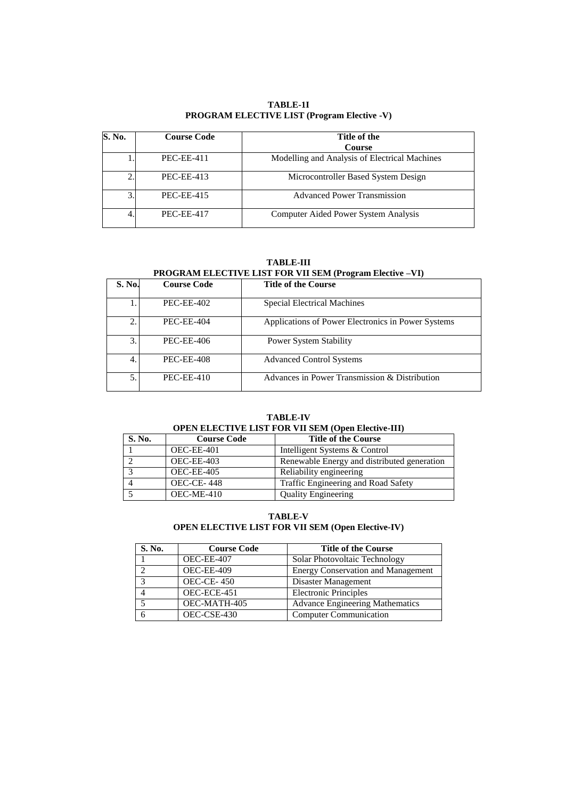### **TABLE-1I PROGRAM ELECTIVE LIST (Program Elective -V)**

| S. No. | <b>Course Code</b> | Title of the<br><b>Course</b>                 |
|--------|--------------------|-----------------------------------------------|
|        | <b>PEC-EE-411</b>  | Modelling and Analysis of Electrical Machines |
|        | <b>PEC-EE-413</b>  | Microcontroller Based System Design           |
| 3      | <b>PEC-EE-415</b>  | <b>Advanced Power Transmission</b>            |
|        | <b>PEC-EE-417</b>  | Computer Aided Power System Analysis          |

**TABLE-III**

### **PROGRAM ELECTIVE LIST FOR VII SEM (Program Elective –VI)**

| S. No. | <b>Course Code</b> | <b>Title of the Course</b>                         |
|--------|--------------------|----------------------------------------------------|
|        | <b>PEC-EE-402</b>  | <b>Special Electrical Machines</b>                 |
| ↑      | <b>PEC-EE-404</b>  | Applications of Power Electronics in Power Systems |
| 3.     | <b>PEC-EE-406</b>  | <b>Power System Stability</b>                      |
| 4.     | <b>PEC-EE-408</b>  | <b>Advanced Control Systems</b>                    |
| 5.     | $PEC$ -EE-410      | Advances in Power Transmission & Distribution      |

### **TABLE-IV OPEN ELECTIVE LIST FOR VII SEM (Open Elective-III)**

| S. No. | <b>Course Code</b> | <b>Title of the Course</b>                  |
|--------|--------------------|---------------------------------------------|
|        | OEC-EE-401         | Intelligent Systems & Control               |
|        | OEC-EE-403         | Renewable Energy and distributed generation |
|        | OEC-EE-405         | Reliability engineering                     |
|        | <b>OEC-CE-448</b>  | Traffic Engineering and Road Safety         |
|        | OEC-ME-410         | <b>Quality Engineering</b>                  |

### **TABLE-V OPEN ELECTIVE LIST FOR VII SEM (Open Elective-IV)**

| S. No.        | <b>Course Code</b> | <b>Title of the Course</b>                |
|---------------|--------------------|-------------------------------------------|
|               | OEC-EE-407         | Solar Photovoltaic Technology             |
| $\mathcal{L}$ | OEC-EE-409         | <b>Energy Conservation and Management</b> |
| 3             | <b>OEC-CE-450</b>  | Disaster Management                       |
|               | OEC-ECE-451        | <b>Electronic Principles</b>              |
|               | OEC-MATH-405       | <b>Advance Engineering Mathematics</b>    |
|               | OEC-CSE-430        | <b>Computer Communication</b>             |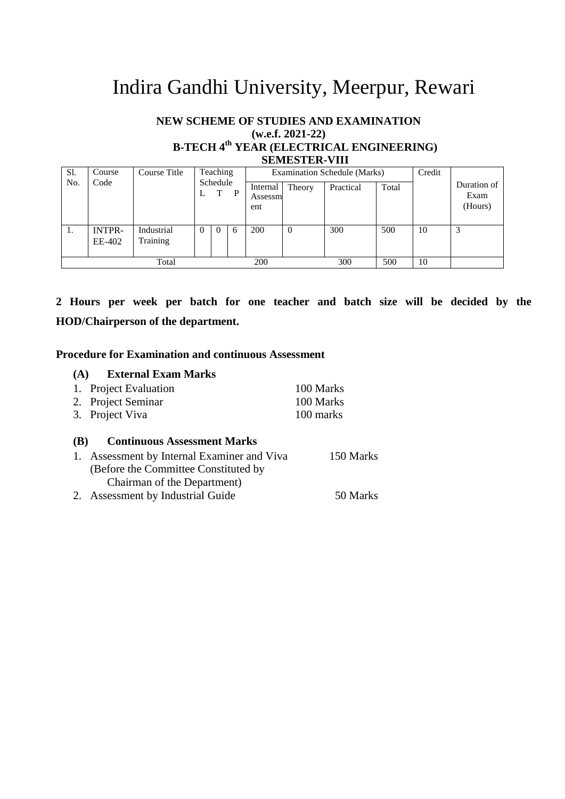# Indira Gandhi University, Meerpur, Rewari

### **NEW SCHEME OF STUDIES AND EXAMINATION (w.e.f. 2021-22) B-TECH 4th YEAR (ELECTRICAL ENGINEERING) SEMESTER-VIII**

| Sl. | Course                  | Course Title           |          | Teaching      |   |                            |          | Examination Schedule (Marks) |       | Credit |                                |
|-----|-------------------------|------------------------|----------|---------------|---|----------------------------|----------|------------------------------|-------|--------|--------------------------------|
| No. | Code                    |                        | ⊥        | Schedule<br>T | P | Internal<br>Assessm<br>ent | Theory   | Practical                    | Total |        | Duration of<br>Exam<br>(Hours) |
| 1.  | <b>INTPR-</b><br>EE-402 | Industrial<br>Training | $\theta$ | $\Omega$      | 6 | 200                        | $\Omega$ | 300                          | 500   | 10     |                                |
|     |                         | Total                  |          |               |   | 200                        |          | 300                          | 500   | 10     |                                |

**2 Hours per week per batch for one teacher and batch size will be decided by the HOD/Chairperson of the department.**

### **Procedure for Examination and continuous Assessment**

## **(A) External Exam Marks**

| 1. Project Evaluation | 100 Marks |
|-----------------------|-----------|
| 2. Project Seminar    | 100 Marks |
| 3. Project Viva       | 100 marks |

### **(B) Continuous Assessment Marks**

| 1. Assessment by Internal Examiner and Viva | 150 Marks |
|---------------------------------------------|-----------|
| (Before the Committee Constituted by        |           |
| Chairman of the Department)                 |           |
| 2. Assessment by Industrial Guide           | 50 Marks  |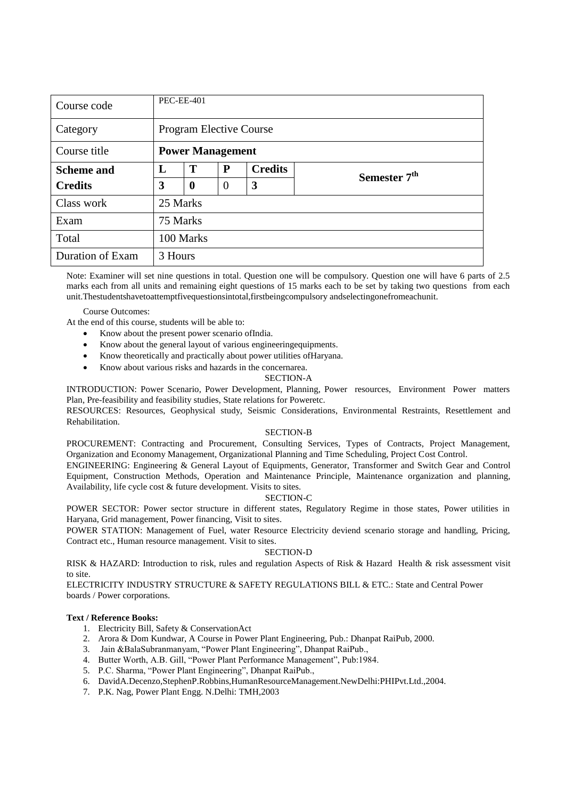| Course code                             |                                | <b>PEC-EE-401</b> |                |                |                          |  |  |  |  |
|-----------------------------------------|--------------------------------|-------------------|----------------|----------------|--------------------------|--|--|--|--|
| Category                                | <b>Program Elective Course</b> |                   |                |                |                          |  |  |  |  |
| Course title<br><b>Power Management</b> |                                |                   |                |                |                          |  |  |  |  |
| <b>Scheme and</b>                       | L                              | Т                 | P              | <b>Credits</b> | Semester 7 <sup>th</sup> |  |  |  |  |
| <b>Credits</b>                          | 3                              | $\bf{0}$          | $\overline{0}$ | 3              |                          |  |  |  |  |
| Class work                              |                                | 25 Marks          |                |                |                          |  |  |  |  |
| Exam                                    | 75 Marks                       |                   |                |                |                          |  |  |  |  |
| Total                                   | 100 Marks                      |                   |                |                |                          |  |  |  |  |
| Duration of Exam                        | 3 Hours                        |                   |                |                |                          |  |  |  |  |

Note: Examiner will set nine questions in total. Question one will be compulsory. Question one will have 6 parts of 2.5 marks each from all units and remaining eight questions of 15 marks each to be set by taking two questions from each unit.Thestudentshavetoattemptfivequestionsintotal,firstbeingcompulsory andselectingonefromeachunit.

Course Outcomes:

At the end of this course, students will be able to:

- Know about the present power scenario ofIndia.
- Know about the general layout of various engineeringequipments.
- Know theoretically and practically about power utilities ofHaryana.
- Know about various risks and hazards in the concernarea.

#### SECTION-A

INTRODUCTION: Power Scenario, Power Development, Planning, Power resources, Environment Power matters Plan, Pre-feasibility and feasibility studies, State relations for Poweretc.

RESOURCES: Resources, Geophysical study, Seismic Considerations, Environmental Restraints, Resettlement and Rehabilitation.

### SECTION-B

PROCUREMENT: Contracting and Procurement, Consulting Services, Types of Contracts, Project Management, Organization and Economy Management, Organizational Planning and Time Scheduling, Project Cost Control.

ENGINEERING: Engineering & General Layout of Equipments, Generator, Transformer and Switch Gear and Control Equipment, Construction Methods, Operation and Maintenance Principle, Maintenance organization and planning, Availability, life cycle cost & future development. Visits to sites.

### SECTION-C

POWER SECTOR: Power sector structure in different states, Regulatory Regime in those states, Power utilities in Haryana, Grid management, Power financing, Visit to sites.

POWER STATION: Management of Fuel, water Resource Electricity deviend scenario storage and handling, Pricing, Contract etc., Human resource management. Visit to sites.

### SECTION-D

RISK & HAZARD: Introduction to risk, rules and regulation Aspects of Risk & Hazard Health & risk assessment visit to site.

ELECTRICITY INDUSTRY STRUCTURE & SAFETY REGULATIONS BILL & ETC.: State and Central Power boards / Power corporations.

### **Text / Reference Books:**

- 1. Electricity Bill, Safety & ConservationAct
- 2. Arora & Dom Kundwar, A Course in Power Plant Engineering, Pub.: Dhanpat RaiPub, 2000.
- 3. Jain &BalaSubranmanyam, "Power Plant Engineering", Dhanpat RaiPub.,
- 4. Butter Worth, A.B. Gill, "Power Plant Performance Management", Pub:1984.
- 5. P.C. Sharma, "Power Plant Engineering", Dhanpat RaiPub.,
- 6. DavidA.Decenzo,StephenP.Robbins,HumanResourceManagement.NewDelhi:PHIPvt.Ltd.,2004.
- 7. P.K. Nag, Power Plant Engg. N.Delhi: TMH,2003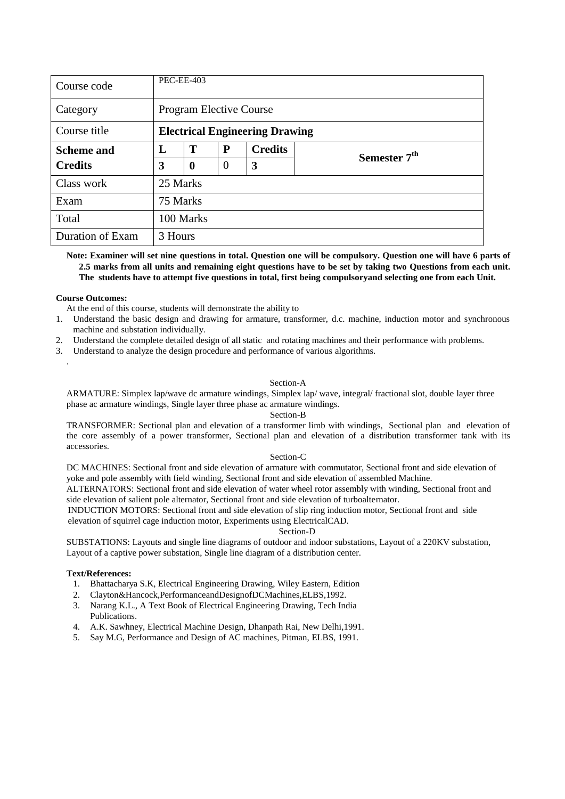| <b>PEC-EE-403</b><br>Course code |                                       |                  |          |                |                          |  |  |  |  |
|----------------------------------|---------------------------------------|------------------|----------|----------------|--------------------------|--|--|--|--|
| Category                         | <b>Program Elective Course</b>        |                  |          |                |                          |  |  |  |  |
| Course title                     | <b>Electrical Engineering Drawing</b> |                  |          |                |                          |  |  |  |  |
| <b>Scheme and</b>                | L                                     | T                | P        | <b>Credits</b> | Semester 7 <sup>th</sup> |  |  |  |  |
| <b>Credits</b>                   | 3                                     | $\boldsymbol{0}$ | $\Omega$ | 3              |                          |  |  |  |  |
| Class work                       | 25 Marks                              |                  |          |                |                          |  |  |  |  |
| 75 Marks<br>Exam                 |                                       |                  |          |                |                          |  |  |  |  |
| Total                            | 100 Marks                             |                  |          |                |                          |  |  |  |  |
| Duration of Exam                 |                                       | 3 Hours          |          |                |                          |  |  |  |  |

**Note: Examiner will set nine questions in total. Question one will be compulsory. Question one will have 6 parts of 2.5 marks from all units and remaining eight questions have to be set by taking two Questions from each unit. The students have to attempt five questions in total, first being compulsoryand selecting one from each Unit.**

### **Course Outcomes:**

.

At the end of this course, students will demonstrate the ability to

- 1. Understand the basic design and drawing for armature, transformer, d.c. machine, induction motor and synchronous machine and substation individually.
- 2. Understand the complete detailed design of all static and rotating machines and their performance with problems.
- 3. Understand to analyze the design procedure and performance of various algorithms.

#### Section-A

ARMATURE: Simplex lap/wave dc armature windings, Simplex lap/ wave, integral/ fractional slot, double layer three phase ac armature windings, Single layer three phase ac armature windings.

#### Section-B

TRANSFORMER: Sectional plan and elevation of a transformer limb with windings, Sectional plan and elevation of the core assembly of a power transformer, Sectional plan and elevation of a distribution transformer tank with its accessories.

#### Section-C

DC MACHINES: Sectional front and side elevation of armature with commutator, Sectional front and side elevation of yoke and pole assembly with field winding, Sectional front and side elevation of assembled Machine.

ALTERNATORS: Sectional front and side elevation of water wheel rotor assembly with winding, Sectional front and side elevation of salient pole alternator, Sectional front and side elevation of turboalternator.

INDUCTION MOTORS: Sectional front and side elevation of slip ring induction motor, Sectional front and side elevation of squirrel cage induction motor, Experiments using ElectricalCAD.

### Section-D

SUBSTATIONS: Layouts and single line diagrams of outdoor and indoor substations, Layout of a 220KV substation, Layout of a captive power substation, Single line diagram of a distribution center.

- 1. Bhattacharya S.K, Electrical Engineering Drawing, Wiley Eastern, Edition
- 2. Clayton&Hancock,PerformanceandDesignofDCMachines,ELBS,1992.
- 3. Narang K.L., A Text Book of Electrical Engineering Drawing, Tech India Publications.
- 4. A.K. Sawhney, Electrical Machine Design, Dhanpath Rai, New Delhi,1991.
- 5. Say M.G, Performance and Design of AC machines, Pitman, ELBS, 1991.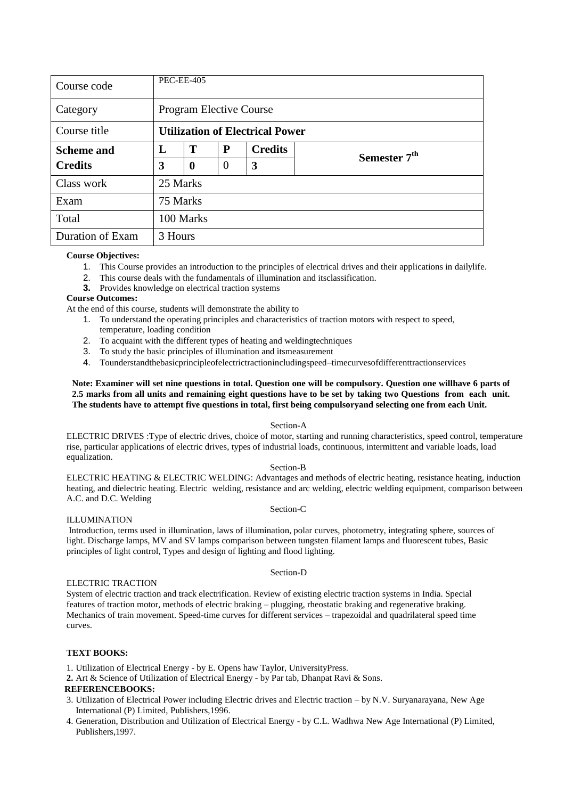| Course code       | <b>PEC-EE-405</b> |                                                      |  |  |  |  |  |  |  |  |
|-------------------|-------------------|------------------------------------------------------|--|--|--|--|--|--|--|--|
| Category          |                   | <b>Program Elective Course</b>                       |  |  |  |  |  |  |  |  |
| Course title      |                   | <b>Utilization of Electrical Power</b>               |  |  |  |  |  |  |  |  |
| <b>Scheme and</b> | L                 | T<br>P<br><b>Credits</b><br>Semester 7 <sup>th</sup> |  |  |  |  |  |  |  |  |
| <b>Credits</b>    | 3                 | $\boldsymbol{0}$                                     |  |  |  |  |  |  |  |  |
| Class work        | 25 Marks          |                                                      |  |  |  |  |  |  |  |  |
| Exam              | 75 Marks          |                                                      |  |  |  |  |  |  |  |  |
| Total             |                   | 100 Marks                                            |  |  |  |  |  |  |  |  |
| Duration of Exam  | 3 Hours           |                                                      |  |  |  |  |  |  |  |  |

- 1. This Course provides an introduction to the principles of electrical drives and their applications in dailylife.
- 2. This course deals with the fundamentals of illumination and itsclassification.
- **3.** Provides knowledge on electrical traction systems

### **Course Outcomes:**

At the end of this course, students will demonstrate the ability to

- 1. To understand the operating principles and characteristics of traction motors with respect to speed, temperature, loading condition
- 2. To acquaint with the different types of heating and weldingtechniques
- 3. To study the basic principles of illumination and itsmeasurement
- 4. Tounderstandthebasicprincipleofelectrictractionincludingspeed–timecurvesofdifferenttractionservices

### **Note: Examiner will set nine questions in total. Question one will be compulsory. Question one willhave 6 parts of 2.5 marks from all units and remaining eight questions have to be set by taking two Questions from each unit. The students have to attempt five questions in total, first being compulsoryand selecting one from each Unit.**

### Section-A

ELECTRIC DRIVES :Type of electric drives, choice of motor, starting and running characteristics, speed control, temperature rise, particular applications of electric drives, types of industrial loads, continuous, intermittent and variable loads, load equalization.

### Section-B

ELECTRIC HEATING & ELECTRIC WELDING: Advantages and methods of electric heating, resistance heating, induction heating, and dielectric heating. Electric welding, resistance and arc welding, electric welding equipment, comparison between A.C. and D.C. Welding

### Section-C

Section-D

### ILLUMINATION

Introduction, terms used in illumination, laws of illumination, polar curves, photometry, integrating sphere, sources of light. Discharge lamps, MV and SV lamps comparison between tungsten filament lamps and fluorescent tubes, Basic principles of light control, Types and design of lighting and flood lighting.

### ELECTRIC TRACTION

System of electric traction and track electrification. Review of existing electric traction systems in India. Special features of traction motor, methods of electric braking – plugging, rheostatic braking and regenerative braking. Mechanics of train movement. Speed-time curves for different services – trapezoidal and quadrilateral speed time curves.

### **TEXT BOOKS:**

1. Utilization of Electrical Energy - by E. Opens haw Taylor, UniversityPress.

**2.** Art & Science of Utilization of Electrical Energy - by Par tab, Dhanpat Ravi & Sons.

### **REFERENCEBOOKS:**

- 3. Utilization of Electrical Power including Electric drives and Electric traction by N.V. Suryanarayana, New Age International (P) Limited, Publishers,1996.
- 4. Generation, Distribution and Utilization of Electrical Energy by C.L. Wadhwa New Age International (P) Limited, Publishers,1997.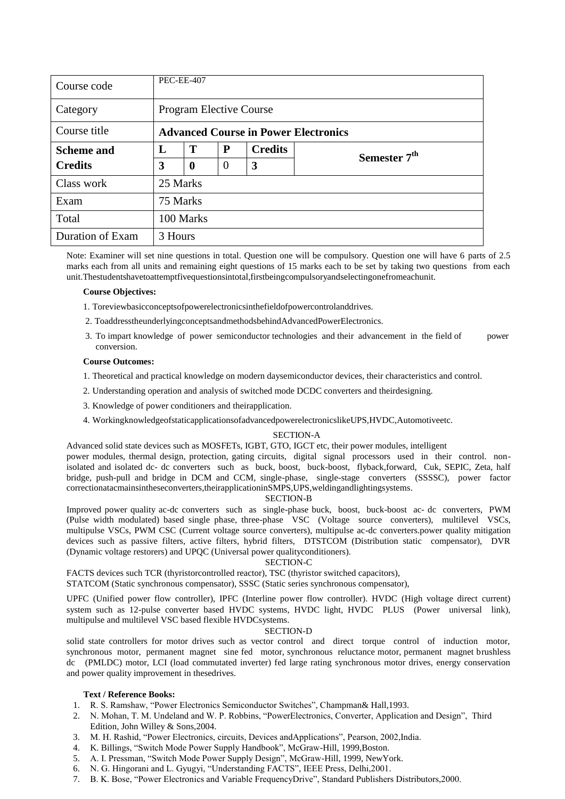| Course code       |          | <b>PEC-EE-407</b>                                    |  |  |  |  |  |  |  |  |
|-------------------|----------|------------------------------------------------------|--|--|--|--|--|--|--|--|
| Category          |          | <b>Program Elective Course</b>                       |  |  |  |  |  |  |  |  |
| Course title      |          | <b>Advanced Course in Power Electronics</b>          |  |  |  |  |  |  |  |  |
| <b>Scheme and</b> | L        | T<br><b>Credits</b><br>P<br>Semester 7 <sup>th</sup> |  |  |  |  |  |  |  |  |
| <b>Credits</b>    | 3        | $\mathbf{0}$                                         |  |  |  |  |  |  |  |  |
| Class work        | 25 Marks |                                                      |  |  |  |  |  |  |  |  |
| Exam              | 75 Marks |                                                      |  |  |  |  |  |  |  |  |
| Total             |          | 100 Marks                                            |  |  |  |  |  |  |  |  |
| Duration of Exam  | 3 Hours  |                                                      |  |  |  |  |  |  |  |  |

Note: Examiner will set nine questions in total. Question one will be compulsory. Question one will have 6 parts of 2.5 marks each from all units and remaining eight questions of 15 marks each to be set by taking two questions from each unit.Thestudentshavetoattemptfivequestionsintotal,firstbeingcompulsoryandselectingonefromeachunit.

### **Course Objectives:**

- 1. Toreviewbasicconceptsofpowerelectronicsinthefieldofpowercontrolanddrives.
- 2. ToaddresstheunderlyingconceptsandmethodsbehindAdvancedPowerElectronics.
- 3. To impart knowledge of power semiconductor technologies and their advancement in the field of power conversion.

### **Course Outcomes:**

- 1. Theoretical and practical knowledge on modern daysemiconductor devices, their characteristics and control.
- 2. Understanding operation and analysis of switched mode DCDC converters and theirdesigning.
- 3. Knowledge of power conditioners and theirapplication.
- 4. WorkingknowledgeofstaticapplicationsofadvancedpowerelectronicslikeUPS,HVDC,Automotiveetc.

### SECTION-A

Advanced solid state devices such as MOSFETs, IGBT, GTO, IGCT etc, their power modules, intelligent power modules, thermal design, protection, gating circuits, digital signal processors used in their control. nonisolated and isolated dc- dc converters such as buck, boost, buck-boost, flyback,forward, Cuk, SEPIC, Zeta, half bridge, push-pull and bridge in DCM and CCM, single-phase, single-stage converters (SSSSC), power factor

### correctionatacmainsintheseconverters,theirapplicationinSMPS,UPS,weldingandlightingsystems. SECTION-B

Improved power quality ac-dc converters such as single-phase buck, boost, buck-boost ac- dc converters, PWM (Pulse width modulated) based single phase, three-phase VSC (Voltage source converters), multilevel VSCs, multipulse VSCs, PWM CSC (Current voltage source converters), multipulse ac-dc converters.power quality mitigation devices such as passive filters, active filters, hybrid filters, DTSTCOM (Distribution static compensator), DVR (Dynamic voltage restorers) and UPQC (Universal power qualityconditioners).

### SECTION-C

FACTS devices such TCR (thyristorcontrolled reactor), TSC (thyristor switched capacitors),

STATCOM (Static synchronous compensator), SSSC (Static series synchronous compensator),

UPFC (Unified power flow controller), IPFC (Interline power flow controller). HVDC (High voltage direct current) system such as 12-pulse converter based HVDC systems, HVDC light, HVDC PLUS (Power universal link), multipulse and multilevel VSC based flexible HVDCsystems.

### SECTION-D

solid state controllers for motor drives such as vector control and direct torque control of induction motor, synchronous motor, permanent magnet sine fed motor, synchronous reluctance motor, permanent magnet brushless dc (PMLDC) motor, LCI (load commutated inverter) fed large rating synchronous motor drives, energy conservation and power quality improvement in thesedrives.

### **Text / Reference Books:**

- 1. R. S. Ramshaw, "Power Electronics Semiconductor Switches", Champman& Hall, 1993.
- 2. N. Mohan, T. M. Undeland and W. P. Robbins, "PowerElectronics, Converter, Application and Design", Third Edition, John Willey & Sons,2004.
- 3. M. H. Rashid, "Power Electronics, circuits, Devices andApplications", Pearson, 2002,India.
- 4. K. Billings, "Switch Mode Power Supply Handbook", McGraw-Hill, 1999, Boston.
- 5. A. I. Pressman, "Switch Mode Power Supply Design", McGraw-Hill, 1999, NewYork.
- 6. N. G. Hingorani and L. Gyugyi, "Understanding FACTS", IEEE Press, Delhi,2001.
- 7. B. K. Bose, "Power Electronics and Variable FrequencyDrive", Standard Publishers Distributors, 2000.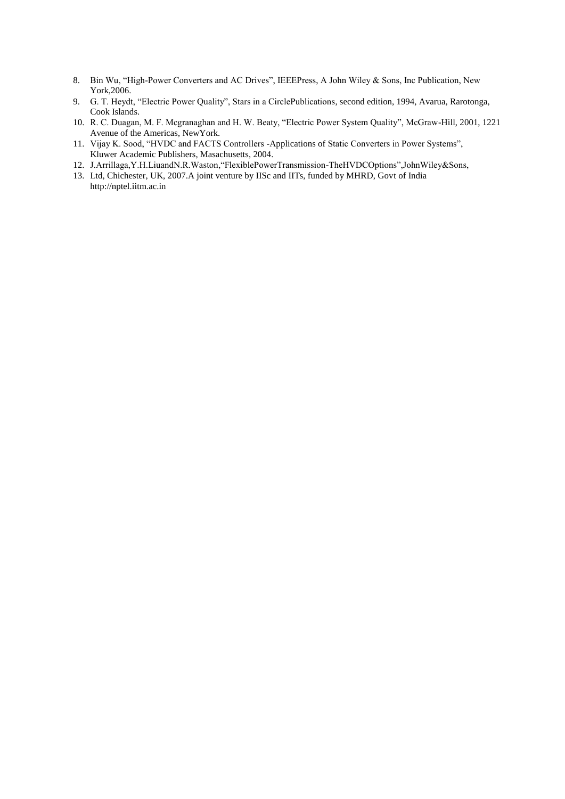- 8. Bin Wu, "High-Power Converters and AC Drives", IEEEPress, A John Wiley & Sons, Inc Publication, New York,2006.
- 9. G. T. Heydt, "Electric Power Quality", Stars in a CirclePublications, second edition, 1994, Avarua, Rarotonga, Cook Islands.
- 10. R. C. Duagan, M. F. Mcgranaghan and H. W. Beaty, "Electric Power System Quality", McGraw-Hill, 2001, 1221 Avenue of the Americas, NewYork.
- 11. Vijay K. Sood, "HVDC and FACTS Controllers -Applications of Static Converters in Power Systems", Kluwer Academic Publishers, Masachusetts, 2004.
- 12. J.Arrillaga, Y.H.LiuandN.R.Waston, "FlexiblePowerTransmission-TheHVDCOptions", John Wiley&Sons,
- 13. Ltd, Chichester, UK, 2007.A joint venture by IISc and IITs, funded by MHRD, Govt of Indi[a](http://nptel.iitm.ac.in/) [http://nptel.iitm.ac.in](http://nptel.iitm.ac.in/)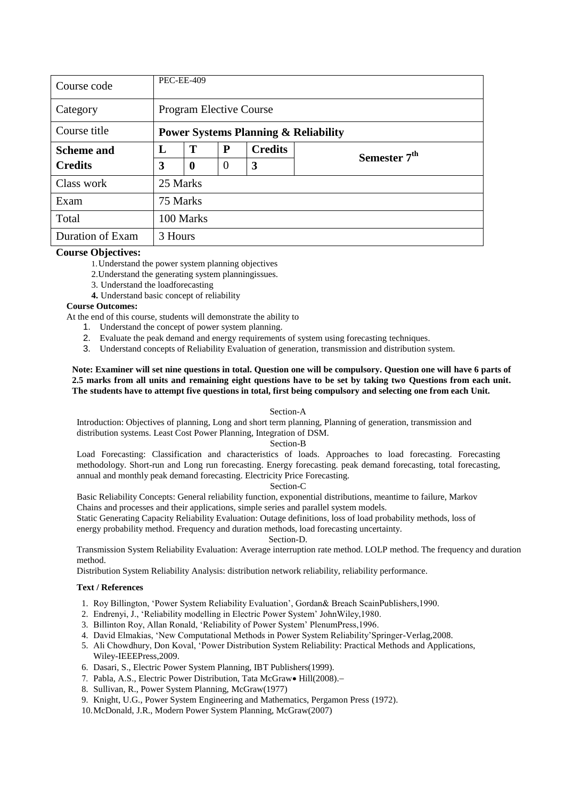| Course code       |          | <b>PEC-EE-409</b>                                    |          |  |  |  |  |  |  |  |
|-------------------|----------|------------------------------------------------------|----------|--|--|--|--|--|--|--|
| Category          |          | <b>Program Elective Course</b>                       |          |  |  |  |  |  |  |  |
| Course title      |          | <b>Power Systems Planning &amp; Reliability</b>      |          |  |  |  |  |  |  |  |
| <b>Scheme and</b> | L        | Т<br>P<br><b>Credits</b><br>Semester 7 <sup>th</sup> |          |  |  |  |  |  |  |  |
| <b>Credits</b>    | 3        | $\boldsymbol{0}$                                     | $\theta$ |  |  |  |  |  |  |  |
| Class work        | 25 Marks |                                                      |          |  |  |  |  |  |  |  |
| Exam              | 75 Marks |                                                      |          |  |  |  |  |  |  |  |
| Total             |          | 100 Marks                                            |          |  |  |  |  |  |  |  |
| Duration of Exam  | 3 Hours  |                                                      |          |  |  |  |  |  |  |  |

1.Understand the power system planning objectives

2.Understand the generating system planningissues.

3. Understand the loadforecasting

**4.** Understand basic concept of reliability

### **Course Outcomes:**

At the end of this course, students will demonstrate the ability to

- 1. Understand the concept of power system planning.
- 2. Evaluate the peak demand and energy requirements of system using forecasting techniques.
- 3. Understand concepts of Reliability Evaluation of generation, transmission and distribution system.

### **Note: Examiner will set nine questions in total. Question one will be compulsory. Question one will have 6 parts of 2.5 marks from all units and remaining eight questions have to be set by taking two Questions from each unit. The students have to attempt five questions in total, first being compulsory and selecting one from each Unit.**

#### Section-A

Introduction: Objectives of planning, Long and short term planning, Planning of generation, transmission and distribution systems. Least Cost Power Planning, Integration of DSM.

### Section-B

Load Forecasting: Classification and characteristics of loads. Approaches to load forecasting. Forecasting methodology. Short-run and Long run forecasting. Energy forecasting. peak demand forecasting, total forecasting, annual and monthly peak demand forecasting. Electricity Price Forecasting.

### Section-C

Basic Reliability Concepts: General reliability function, exponential distributions, meantime to failure, Markov Chains and processes and their applications, simple series and parallel system models.

Static Generating Capacity Reliability Evaluation: Outage definitions, loss of load probability methods, loss of energy probability method. Frequency and duration methods, load forecasting uncertainty.

#### Section-D.

Transmission System Reliability Evaluation: Average interruption rate method. LOLP method. The frequency and duration method.

Distribution System Reliability Analysis: distribution network reliability, reliability performance.

- 1. Roy Billington, 'Power System Reliability Evaluation', Gordan& Breach ScainPublishers,1990.
- 2. Endrenyi, J., ‗Reliability modelling in Electric Power System' JohnWiley,1980.
- 3. Billinton Roy, Allan Ronald, 'Reliability of Power System' PlenumPress, 1996.
- 4. David Elmakias, 'New Computational Methods in Power System Reliability'Springer-Verlag, 2008.
- 5. Ali Chowdhury, Don Koval, 'Power Distribution System Reliability: Practical Methods and Applications, Wiley-IEEEPress,2009.
- 6. Dasari, S., Electric Power System Planning, IBT Publishers(1999).
- 7. Pabla, A.S., Electric Power Distribution, Tata McGraw Hill(2008).-
- 8. Sullivan, R., Power System Planning, McGraw(1977)
- 9. Knight, U.G., Power System Engineering and Mathematics, Pergamon Press (1972).
- 10.McDonald, J.R., Modern Power System Planning, McGraw(2007)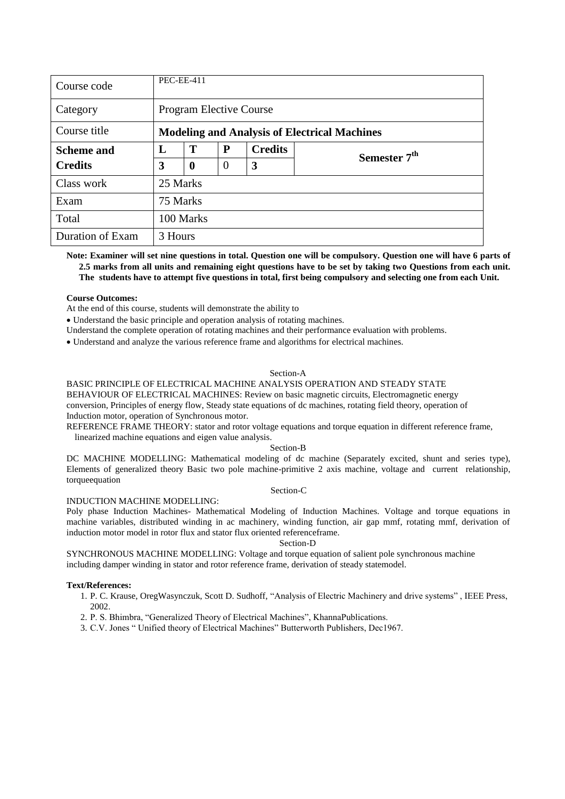| Course code       |          | <b>PEC-EE-411</b>                                    |                |   |  |  |  |  |  |  |
|-------------------|----------|------------------------------------------------------|----------------|---|--|--|--|--|--|--|
| Category          |          | <b>Program Elective Course</b>                       |                |   |  |  |  |  |  |  |
| Course title      |          | <b>Modeling and Analysis of Electrical Machines</b>  |                |   |  |  |  |  |  |  |
| <b>Scheme and</b> | L        | Т<br>P<br><b>Credits</b><br>Semester 7 <sup>th</sup> |                |   |  |  |  |  |  |  |
| <b>Credits</b>    | 3        | $\bf{0}$                                             | $\overline{0}$ | 3 |  |  |  |  |  |  |
| Class work        | 25 Marks |                                                      |                |   |  |  |  |  |  |  |
| Exam              | 75 Marks |                                                      |                |   |  |  |  |  |  |  |
| Total             |          | 100 Marks                                            |                |   |  |  |  |  |  |  |
| Duration of Exam  | 3 Hours  |                                                      |                |   |  |  |  |  |  |  |

**Note: Examiner will set nine questions in total. Question one will be compulsory. Question one will have 6 parts of 2.5 marks from all units and remaining eight questions have to be set by taking two Questions from each unit. The students have to attempt five questions in total, first being compulsory and selecting one from each Unit.**

### **Course Outcomes:**

At the end of this course, students will demonstrate the ability to

Understand the basic principle and operation analysis of rotating machines.

Understand the complete operation of rotating machines and their performance evaluation with problems.

Understand and analyze the various reference frame and algorithms for electrical machines.

### Section-A

### BASIC PRINCIPLE OF ELECTRICAL MACHINE ANALYSIS OPERATION AND STEADY STATE

BEHAVIOUR OF ELECTRICAL MACHINES: Review on basic magnetic circuits, Electromagnetic energy conversion, Principles of energy flow, Steady state equations of dc machines, rotating field theory, operation of Induction motor, operation of Synchronous motor.

REFERENCE FRAME THEORY: stator and rotor voltage equations and torque equation in different reference frame,

linearized machine equations and eigen value analysis.

Section-B

DC MACHINE MODELLING: Mathematical modeling of dc machine (Separately excited, shunt and series type), Elements of generalized theory Basic two pole machine-primitive 2 axis machine, voltage and current relationship, torqueequation

#### Section-C

#### INDUCTION MACHINE MODELLING:

Poly phase Induction Machines- Mathematical Modeling of Induction Machines. Voltage and torque equations in machine variables, distributed winding in ac machinery, winding function, air gap mmf, rotating mmf, derivation of induction motor model in rotor flux and stator flux oriented referenceframe.

Section-D

SYNCHRONOUS MACHINE MODELLING: Voltage and torque equation of salient pole synchronous machine including damper winding in stator and rotor reference frame, derivation of steady statemodel.

- 1. P. C. Krause, OregWasynczuk, Scott D. Sudhoff, "Analysis of Electric Machinery and drive systems", IEEE Press, 2002.
- 2. P. S. Bhimbra, "Generalized Theory of Electrical Machines", KhannaPublications.
- 3. C.V. Jones " Unified theory of Electrical Machines" Butterworth Publishers, Dec1967.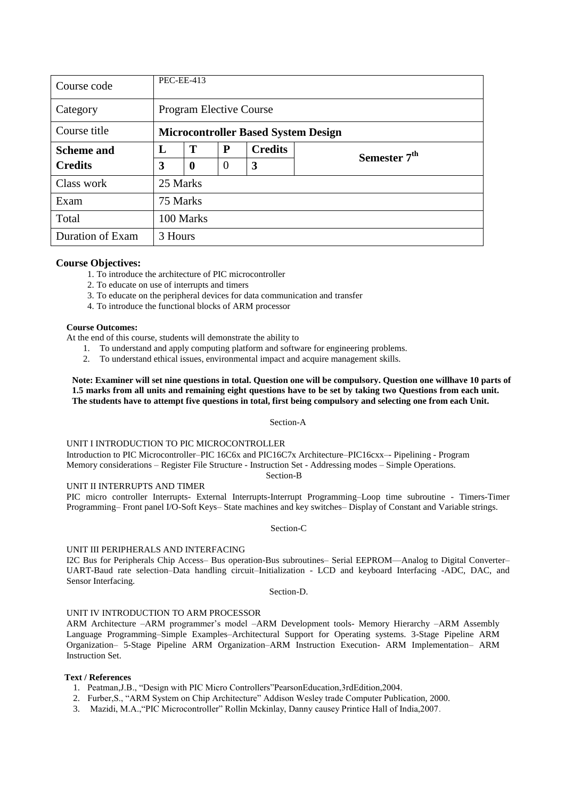| Course code       |          | <b>PEC-EE-413</b>                                    |                |   |  |  |  |  |  |  |
|-------------------|----------|------------------------------------------------------|----------------|---|--|--|--|--|--|--|
| Category          |          | <b>Program Elective Course</b>                       |                |   |  |  |  |  |  |  |
| Course title      |          | <b>Microcontroller Based System Design</b>           |                |   |  |  |  |  |  |  |
| <b>Scheme and</b> | L        | T<br>P<br><b>Credits</b><br>Semester 7 <sup>th</sup> |                |   |  |  |  |  |  |  |
| <b>Credits</b>    | 3        | $\boldsymbol{0}$                                     | $\overline{0}$ | 3 |  |  |  |  |  |  |
| Class work        | 25 Marks |                                                      |                |   |  |  |  |  |  |  |
| Exam              | 75 Marks |                                                      |                |   |  |  |  |  |  |  |
| Total             |          | 100 Marks                                            |                |   |  |  |  |  |  |  |
| Duration of Exam  | 3 Hours  |                                                      |                |   |  |  |  |  |  |  |

1. To introduce the architecture of PIC microcontroller

2. To educate on use of interrupts and timers

- 3. To educate on the peripheral devices for data communication and transfer
- 4. To introduce the functional blocks of ARM processor

### **Course Outcomes:**

At the end of this course, students will demonstrate the ability to

1. To understand and apply computing platform and software for engineering problems.

2. To understand ethical issues, environmental impact and acquire management skills.

**Note: Examiner will set nine questions in total. Question one will be compulsory. Question one willhave 10 parts of 1.5 marks from all units and remaining eight questions have to be set by taking two Questions from each unit. The students have to attempt five questions in total, first being compulsory and selecting one from each Unit.**

### Section-A

### UNIT I INTRODUCTION TO PIC MICROCONTROLLER

Introduction to PIC Microcontroller–PIC 16C6x and PIC16C7x Architecture–PIC16cxx–- Pipelining - Program Memory considerations – Register File Structure - Instruction Set - Addressing modes – Simple Operations.

Section-B

UNIT II INTERRUPTS AND TIMER

PIC micro controller Interrupts- External Interrupts-Interrupt Programming–Loop time subroutine - Timers-Timer Programming– Front panel I/O-Soft Keys– State machines and key switches– Display of Constant and Variable strings.

### Section-C

### UNIT III PERIPHERALS AND INTERFACING

I2C Bus for Peripherals Chip Access– Bus operation-Bus subroutines– Serial EEPROM—Analog to Digital Converter– UART-Baud rate selection–Data handling circuit–Initialization - LCD and keyboard Interfacing -ADC, DAC, and Sensor Interfacing.

Section-D.

### UNIT IV INTRODUCTION TO ARM PROCESSOR

ARM Architecture –ARM programmer's model –ARM Development tools- Memory Hierarchy –ARM Assembly Language Programming–Simple Examples–Architectural Support for Operating systems. 3-Stage Pipeline ARM Organization– 5-Stage Pipeline ARM Organization–ARM Instruction Execution- ARM Implementation– ARM Instruction Set.

- 1. Peatman, J.B., "Design with PIC Micro Controllers" Pearson Education, 3rd Edition, 2004.
- 2. Furber, S., "ARM System on Chip Architecture" Addison Wesley trade Computer Publication, 2000.
- 3. Mazidi, M.A., "PIC Microcontroller" Rollin Mckinlay, Danny causey Printice Hall of India, 2007.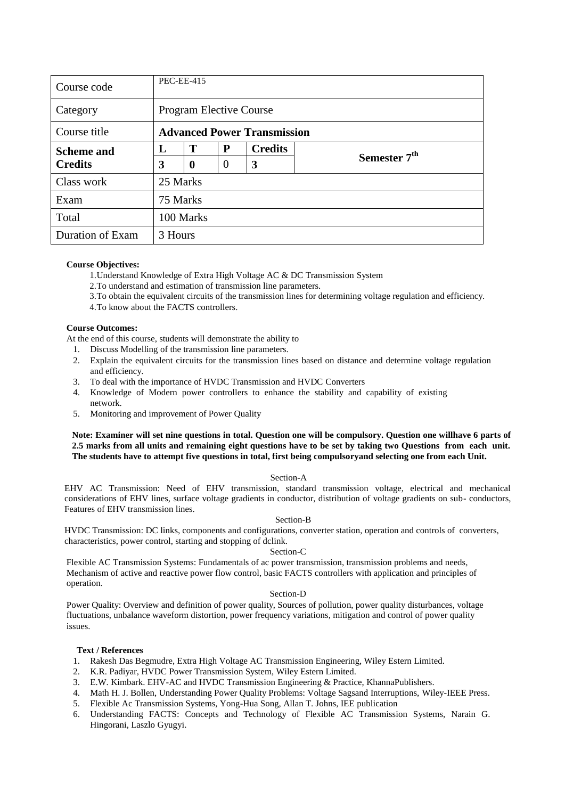| Course code                         |          | <b>PEC-EE-415</b>                  |                |                |                          |  |  |  |  |  |
|-------------------------------------|----------|------------------------------------|----------------|----------------|--------------------------|--|--|--|--|--|
| Category                            |          | <b>Program Elective Course</b>     |                |                |                          |  |  |  |  |  |
| Course title                        |          | <b>Advanced Power Transmission</b> |                |                |                          |  |  |  |  |  |
| <b>Scheme and</b><br><b>Credits</b> | L        | T                                  | P              | <b>Credits</b> |                          |  |  |  |  |  |
|                                     | 3        | $\bf{0}$                           | $\overline{0}$ | 3              | Semester 7 <sup>th</sup> |  |  |  |  |  |
| Class work                          | 25 Marks |                                    |                |                |                          |  |  |  |  |  |
| Exam                                | 75 Marks |                                    |                |                |                          |  |  |  |  |  |
| Total                               |          | 100 Marks                          |                |                |                          |  |  |  |  |  |
| Duration of Exam                    | 3 Hours  |                                    |                |                |                          |  |  |  |  |  |

1.Understand Knowledge of Extra High Voltage AC & DC Transmission System

- 2.To understand and estimation of transmission line parameters.
- 3.To obtain the equivalent circuits of the transmission lines for determining voltage regulation and efficiency.
- 4.To know about the FACTS controllers.

### **Course Outcomes:**

At the end of this course, students will demonstrate the ability to

- 1. Discuss Modelling of the transmission line parameters.
- 2. Explain the equivalent circuits for the transmission lines based on distance and determine voltage regulation and efficiency.
- 3. To deal with the importance of HVDC Transmission and HVDC Converters
- 4. Knowledge of Modern power controllers to enhance the stability and capability of existing network.
- 5. Monitoring and improvement of Power Quality

### **Note: Examiner will set nine questions in total. Question one will be compulsory. Question one willhave 6 parts of 2.5 marks from all units and remaining eight questions have to be set by taking two Questions from each unit. The students have to attempt five questions in total, first being compulsoryand selecting one from each Unit.**

### Section-A

EHV AC Transmission: Need of EHV transmission, standard transmission voltage, electrical and mechanical considerations of EHV lines, surface voltage gradients in conductor, distribution of voltage gradients on sub- conductors, Features of EHV transmission lines.

### Section-B

HVDC Transmission: DC links, components and configurations, converter station, operation and controls of converters, characteristics, power control, starting and stopping of dclink.

### Section-C

Flexible AC Transmission Systems: Fundamentals of ac power transmission, transmission problems and needs, Mechanism of active and reactive power flow control, basic FACTS controllers with application and principles of operation.

### Section-D

Power Quality: Overview and definition of power quality, Sources of pollution, power quality disturbances, voltage fluctuations, unbalance waveform distortion, power frequency variations, mitigation and control of power quality issues.

- 1. Rakesh Das Begmudre, Extra High Voltage AC Transmission Engineering, Wiley Estern Limited.
- 2. K.R. Padiyar, HVDC Power Transmission System, Wiley Estern Limited.
- 3. E.W. Kimbark. EHV-AC and HVDC Transmission Engineering & Practice, KhannaPublishers.
- 4. Math H. J. Bollen, Understanding Power Quality Problems: Voltage Sagsand Interruptions, Wiley-IEEE Press.
- 5. Flexible Ac Transmission Systems, Yong-Hua Song, Allan T. Johns, IEE publication
- 6. Understanding FACTS: Concepts and Technology of Flexible AC Transmission Systems, Narain G. Hingorani, Laszlo Gyugyi.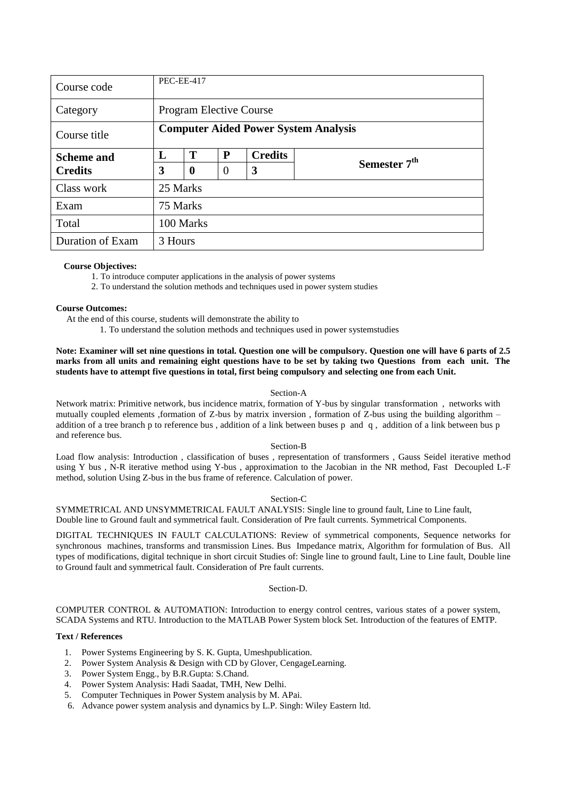| Course code       |              | <b>PEC-EE-417</b>                           |                |                |                          |  |  |  |  |  |
|-------------------|--------------|---------------------------------------------|----------------|----------------|--------------------------|--|--|--|--|--|
| Category          |              | <b>Program Elective Course</b>              |                |                |                          |  |  |  |  |  |
| Course title      |              | <b>Computer Aided Power System Analysis</b> |                |                |                          |  |  |  |  |  |
| <b>Scheme and</b> | $\mathbf{I}$ | Т                                           | P              | <b>Credits</b> |                          |  |  |  |  |  |
| <b>Credits</b>    | 3            | $\boldsymbol{0}$                            | $\overline{0}$ | 3              | Semester 7 <sup>th</sup> |  |  |  |  |  |
| Class work        | 25 Marks     |                                             |                |                |                          |  |  |  |  |  |
| Exam              | 75 Marks     |                                             |                |                |                          |  |  |  |  |  |
| Total             |              | 100 Marks                                   |                |                |                          |  |  |  |  |  |
| Duration of Exam  | 3 Hours      |                                             |                |                |                          |  |  |  |  |  |

1. To introduce computer applications in the analysis of power systems

2. To understand the solution methods and techniques used in power system studies

### **Course Outcomes:**

At the end of this course, students will demonstrate the ability to

1. To understand the solution methods and techniques used in power systemstudies

**Note: Examiner will set nine questions in total. Question one will be compulsory. Question one will have 6 parts of 2.5 marks from all units and remaining eight questions have to be set by taking two Questions from each unit. The students have to attempt five questions in total, first being compulsory and selecting one from each Unit.**

#### Section-A

Network matrix: Primitive network, bus incidence matrix, formation of Y-bus by singular transformation , networks with mutually coupled elements ,formation of Z-bus by matrix inversion , formation of Z-bus using the building algorithm – addition of a tree branch p to reference bus , addition of a link between buses p and q , addition of a link between bus p and reference bus.

#### Section-B

Load flow analysis: Introduction , classification of buses , representation of transformers , Gauss Seidel iterative method using Y bus , N-R iterative method using Y-bus , approximation to the Jacobian in the NR method, Fast Decoupled L-F method, solution Using Z-bus in the bus frame of reference. Calculation of power.

#### Section-C

SYMMETRICAL AND UNSYMMETRICAL FAULT ANALYSIS: Single line to ground fault, Line to Line fault, Double line to Ground fault and symmetrical fault. Consideration of Pre fault currents. Symmetrical Components.

DIGITAL TECHNIQUES IN FAULT CALCULATIONS: Review of symmetrical components, Sequence networks for synchronous machines, transforms and transmission Lines. Bus Impedance matrix, Algorithm for formulation of Bus. All types of modifications, digital technique in short circuit Studies of: Single line to ground fault, Line to Line fault, Double line to Ground fault and symmetrical fault. Consideration of Pre fault currents.

#### Section-D.

COMPUTER CONTROL & AUTOMATION: Introduction to energy control centres, various states of a power system, SCADA Systems and RTU. Introduction to the MATLAB Power System block Set. Introduction of the features of EMTP.

- 1. Power Systems Engineering by S. K. Gupta, Umeshpublication.
- 2. Power System Analysis & Design with CD by Glover, CengageLearning.
- 3. Power System Engg., by B.R.Gupta: S.Chand.
- 4. Power System Analysis: Hadi Saadat, TMH, New Delhi.
- 5. Computer Techniques in Power System analysis by M. APai.
- 6. Advance power system analysis and dynamics by L.P. Singh: Wiley Eastern ltd.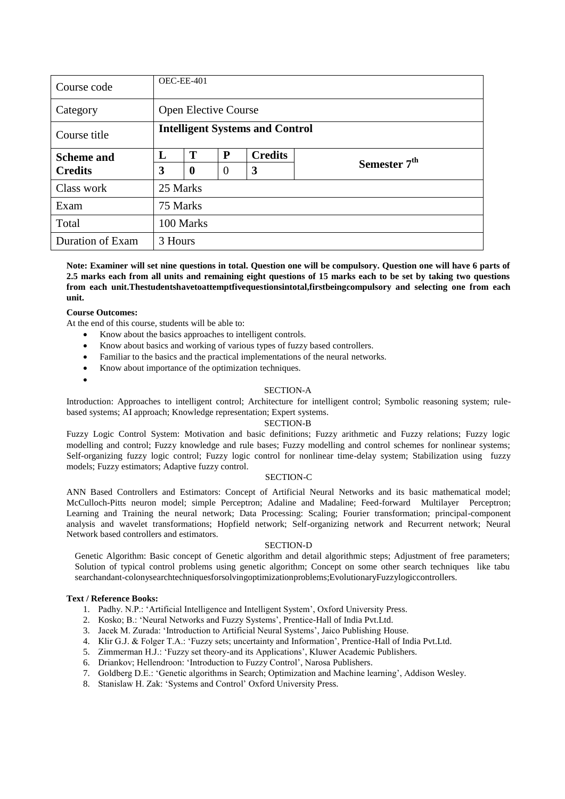| Course code       |          | OEC-EE-401                             |                |                |                          |  |  |  |  |  |
|-------------------|----------|----------------------------------------|----------------|----------------|--------------------------|--|--|--|--|--|
| Category          |          | <b>Open Elective Course</b>            |                |                |                          |  |  |  |  |  |
| Course title      |          | <b>Intelligent Systems and Control</b> |                |                |                          |  |  |  |  |  |
| <b>Scheme and</b> | L        | T                                      | P              | <b>Credits</b> |                          |  |  |  |  |  |
| <b>Credits</b>    | 3        | $\boldsymbol{0}$                       | $\overline{0}$ | 3              | Semester 7 <sup>th</sup> |  |  |  |  |  |
| Class work        | 25 Marks |                                        |                |                |                          |  |  |  |  |  |
| Exam              | 75 Marks |                                        |                |                |                          |  |  |  |  |  |
| Total             |          | 100 Marks                              |                |                |                          |  |  |  |  |  |
| Duration of Exam  | 3 Hours  |                                        |                |                |                          |  |  |  |  |  |

**Note: Examiner will set nine questions in total. Question one will be compulsory. Question one will have 6 parts of 2.5 marks each from all units and remaining eight questions of 15 marks each to be set by taking two questions from each unit.Thestudentshavetoattemptfivequestionsintotal,firstbeingcompulsory and selecting one from each unit.**

### **Course Outcomes:**

 $\bullet$ 

At the end of this course, students will be able to:

- Know about the basics approaches to intelligent controls.
- Know about basics and working of various types of fuzzy based controllers.
- Familiar to the basics and the practical implementations of the neural networks.
- Know about importance of the optimization techniques.

### SECTION-A

Introduction: Approaches to intelligent control; Architecture for intelligent control; Symbolic reasoning system; rulebased systems; AI approach; Knowledge representation; Expert systems.

#### SECTION-B

Fuzzy Logic Control System: Motivation and basic definitions; Fuzzy arithmetic and Fuzzy relations; Fuzzy logic modelling and control; Fuzzy knowledge and rule bases; Fuzzy modelling and control schemes for nonlinear systems; Self-organizing fuzzy logic control; Fuzzy logic control for nonlinear time-delay system; Stabilization using fuzzy models; Fuzzy estimators; Adaptive fuzzy control.

### SECTION-C

ANN Based Controllers and Estimators: Concept of Artificial Neural Networks and its basic mathematical model; McCulloch-Pitts neuron model; simple Perceptron; Adaline and Madaline; Feed-forward Multilayer Perceptron; Learning and Training the neural network; Data Processing: Scaling; Fourier transformation; principal-component analysis and wavelet transformations; Hopfield network; Self-organizing network and Recurrent network; Neural Network based controllers and estimators.

#### SECTION-D

Genetic Algorithm: Basic concept of Genetic algorithm and detail algorithmic steps; Adjustment of free parameters; Solution of typical control problems using genetic algorithm; Concept on some other search techniques like tabu searchandant-colonysearchtechniquesforsolvingoptimizationproblems;EvolutionaryFuzzylogiccontrollers.

#### **Text / Reference Books:**

- 1. Padhy. N.P.: ‗Artificial Intelligence and Intelligent System', Oxford University Press.
- 2. Kosko; B.: ‗Neural Networks and Fuzzy Systems', Prentice-Hall of India Pvt.Ltd.
- 3. Jacek M. Zurada: 'Introduction to Artificial Neural Systems', Jaico Publishing House.
- 4. Klir G.J. & Folger T.A.: ‗Fuzzy sets; uncertainty and Information', Prentice-Hall of India Pvt.Ltd.
- 5. Zimmerman H.J.: ‗Fuzzy set theory-and its Applications', Kluwer Academic Publishers.
- 6. Driankov; Hellendroon: 'Introduction to Fuzzy Control', Narosa Publishers.
- 7. Goldberg D.E.: ‗Genetic algorithms in Search; Optimization and Machine learning', Addison Wesley.
- 8. Stanislaw H. Zak: 'Systems and Control' Oxford University Press.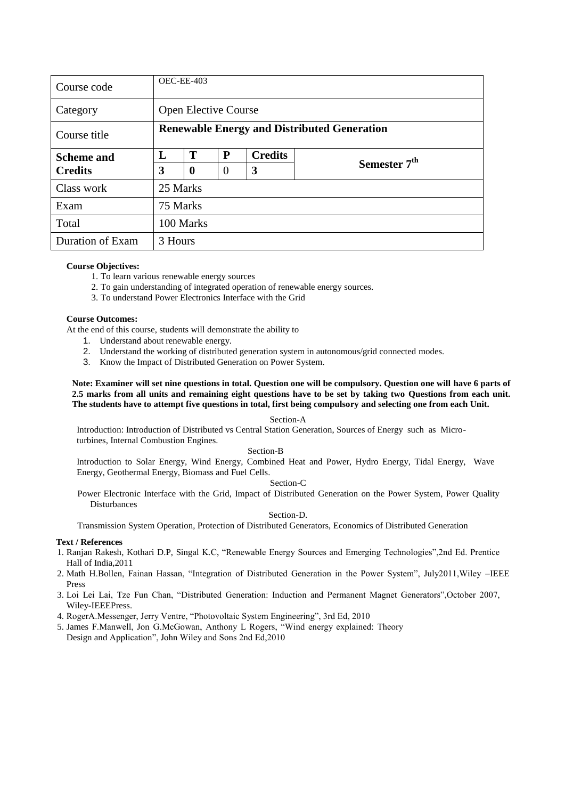| Course code       |          | OEC-EE-403                                         |          |                |                          |  |  |  |  |  |
|-------------------|----------|----------------------------------------------------|----------|----------------|--------------------------|--|--|--|--|--|
| Category          |          | <b>Open Elective Course</b>                        |          |                |                          |  |  |  |  |  |
| Course title      |          | <b>Renewable Energy and Distributed Generation</b> |          |                |                          |  |  |  |  |  |
| <b>Scheme and</b> | L        | Т                                                  | P        | <b>Credits</b> |                          |  |  |  |  |  |
| <b>Credits</b>    | 3        | $\boldsymbol{0}$                                   | $\theta$ | 3              | Semester 7 <sup>th</sup> |  |  |  |  |  |
| Class work        | 25 Marks |                                                    |          |                |                          |  |  |  |  |  |
| Exam              | 75 Marks |                                                    |          |                |                          |  |  |  |  |  |
| Total             |          | 100 Marks                                          |          |                |                          |  |  |  |  |  |
| Duration of Exam  | 3 Hours  |                                                    |          |                |                          |  |  |  |  |  |

- 1. To learn various renewable energy sources
- 2. To gain understanding of integrated operation of renewable energy sources.
- 3. To understand Power Electronics Interface with the Grid

### **Course Outcomes:**

At the end of this course, students will demonstrate the ability to

- 1. Understand about renewable energy.
- 2. Understand the working of distributed generation system in autonomous/grid connected modes.
- 3. Know the Impact of Distributed Generation on Power System.

### **Note: Examiner will set nine questions in total. Question one will be compulsory. Question one will have 6 parts of 2.5 marks from all units and remaining eight questions have to be set by taking two Questions from each unit. The students have to attempt five questions in total, first being compulsory and selecting one from each Unit.**

### Section-A

Introduction: Introduction of Distributed vs Central Station Generation, Sources of Energy such as Microturbines, Internal Combustion Engines.

### Section-B

Introduction to Solar Energy, Wind Energy, Combined Heat and Power, Hydro Energy, Tidal Energy, Wave Energy, Geothermal Energy, Biomass and Fuel Cells.

### Section-C

Power Electronic Interface with the Grid, Impact of Distributed Generation on the Power System, Power Quality Disturbances

### Section-D.

Transmission System Operation, Protection of Distributed Generators, Economics of Distributed Generation

- 1. Ranjan Rakesh, Kothari D.P, Singal K.C, "Renewable Energy Sources and Emerging Technologies",2nd Ed. Prentice Hall of India,2011
- 2. Math H.Bollen, Fainan Hassan, "Integration of Distributed Generation in the Power System", July2011, Wiley -IEEE Press
- 3. Loi Lei Lai, Tze Fun Chan, "Distributed Generation: Induction and Permanent Magnet Generators", October 2007, Wiley-IEEEPress.
- 4. RogerA.Messenger, Jerry Ventre, "Photovoltaic System Engineering", 3rd Ed, 2010
- 5. James F.Manwell, Jon G.McGowan, Anthony L Rogers, "Wind energy explained: Theory Design and Application", John Wiley and Sons 2nd Ed,2010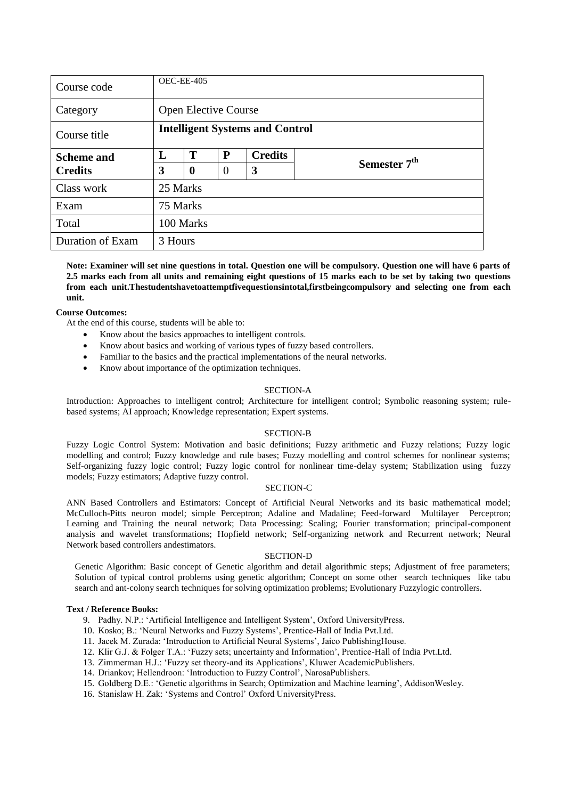| Course code       |          | OEC-EE-405                             |          |                |                          |  |  |  |  |  |
|-------------------|----------|----------------------------------------|----------|----------------|--------------------------|--|--|--|--|--|
| Category          |          | <b>Open Elective Course</b>            |          |                |                          |  |  |  |  |  |
| Course title      |          | <b>Intelligent Systems and Control</b> |          |                |                          |  |  |  |  |  |
| <b>Scheme and</b> | L        | T                                      | P        | <b>Credits</b> |                          |  |  |  |  |  |
| <b>Credits</b>    | 3        | $\boldsymbol{0}$                       | $\theta$ | 3              | Semester 7 <sup>th</sup> |  |  |  |  |  |
| Class work        | 25 Marks |                                        |          |                |                          |  |  |  |  |  |
| Exam              | 75 Marks |                                        |          |                |                          |  |  |  |  |  |
| Total             |          | 100 Marks                              |          |                |                          |  |  |  |  |  |
| Duration of Exam  | 3 Hours  |                                        |          |                |                          |  |  |  |  |  |

**Note: Examiner will set nine questions in total. Question one will be compulsory. Question one will have 6 parts of 2.5 marks each from all units and remaining eight questions of 15 marks each to be set by taking two questions from each unit.Thestudentshavetoattemptfivequestionsintotal,firstbeingcompulsory and selecting one from each unit.**

### **Course Outcomes:**

At the end of this course, students will be able to:

- Know about the basics approaches to intelligent controls.
- Know about basics and working of various types of fuzzy based controllers.
- Familiar to the basics and the practical implementations of the neural networks.
- Know about importance of the optimization techniques.

### SECTION-A

Introduction: Approaches to intelligent control; Architecture for intelligent control; Symbolic reasoning system; rulebased systems; AI approach; Knowledge representation; Expert systems.

### SECTION-B

Fuzzy Logic Control System: Motivation and basic definitions; Fuzzy arithmetic and Fuzzy relations; Fuzzy logic modelling and control; Fuzzy knowledge and rule bases; Fuzzy modelling and control schemes for nonlinear systems; Self-organizing fuzzy logic control; Fuzzy logic control for nonlinear time-delay system; Stabilization using fuzzy models; Fuzzy estimators; Adaptive fuzzy control.

### SECTION-C

ANN Based Controllers and Estimators: Concept of Artificial Neural Networks and its basic mathematical model; McCulloch-Pitts neuron model; simple Perceptron; Adaline and Madaline; Feed-forward Multilayer Perceptron; Learning and Training the neural network; Data Processing: Scaling; Fourier transformation; principal-component analysis and wavelet transformations; Hopfield network; Self-organizing network and Recurrent network; Neural Network based controllers andestimators.

### SECTION-D

Genetic Algorithm: Basic concept of Genetic algorithm and detail algorithmic steps; Adjustment of free parameters; Solution of typical control problems using genetic algorithm; Concept on some other search techniques like tabu search and ant-colony search techniques for solving optimization problems; Evolutionary Fuzzylogic controllers.

### **Text / Reference Books:**

- 9. Padhy. N.P.: ‗Artificial Intelligence and Intelligent System', Oxford UniversityPress.
- 10. Kosko; B.: ‗Neural Networks and Fuzzy Systems', Prentice-Hall of India Pvt.Ltd.
- 11. Jacek M. Zurada: 'Introduction to Artificial Neural Systems', Jaico PublishingHouse.
- 12. Klir G.J. & Folger T.A.: ‗Fuzzy sets; uncertainty and Information', Prentice-Hall of India Pvt.Ltd.
- 13. Zimmerman H.J.: ‗Fuzzy set theory-and its Applications', Kluwer AcademicPublishers.
- 14. Driankov; Hellendroon: 'Introduction to Fuzzy Control', NarosaPublishers.
- 15. Goldberg D.E.: ‗Genetic algorithms in Search; Optimization and Machine learning', AddisonWesley.
- 16. Stanislaw H. Zak: 'Systems and Control' Oxford UniversityPress.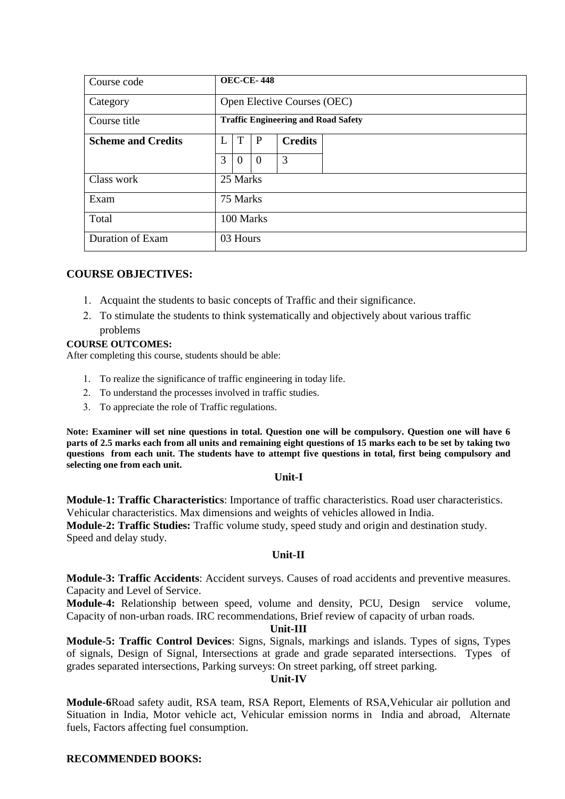| Course code               | <b>OEC-CE-448</b> |                                            |          |                |  |  |  |  |  |
|---------------------------|-------------------|--------------------------------------------|----------|----------------|--|--|--|--|--|
| Category                  |                   | Open Elective Courses (OEC)                |          |                |  |  |  |  |  |
| Course title              |                   | <b>Traffic Engineering and Road Safety</b> |          |                |  |  |  |  |  |
| <b>Scheme and Credits</b> | L                 | T                                          | P        | <b>Credits</b> |  |  |  |  |  |
|                           | 3                 | $\overline{0}$                             | $\theta$ | 3              |  |  |  |  |  |
| Class work                |                   | 25 Marks                                   |          |                |  |  |  |  |  |
| Exam                      |                   | 75 Marks                                   |          |                |  |  |  |  |  |
| Total                     |                   | 100 Marks                                  |          |                |  |  |  |  |  |
| Duration of Exam          |                   | 03 Hours                                   |          |                |  |  |  |  |  |

### **COURSE OBJECTIVES:**

- Acquaint the students to basic concepts of Traffic and their significance.
- To stimulate the students to think systematically and objectively about various traffic problems

### **COURSE OUTCOMES:**

After completing this course, students should be able:

- 1. To realize the significance of traffic engineering in today life.
- 2. To understand the processes involved in traffic studies.
- 3. To appreciate the role of Traffic regulations.

**Note: Examiner will set nine questions in total. Question one will be compulsory. Question one will have 6 parts of 2.5 marks each from all units and remaining eight questions of 15 marks each to be set by taking two questions from each unit. The students have to attempt five questions in total, first being compulsory and selecting one from each unit.**

### **Unit-I**

**Module-1: Traffic Characteristics**: Importance of traffic characteristics. Road user characteristics. Vehicular characteristics. Max dimensions and weights of vehicles allowed in India. **Module-2: Traffic Studies:** Traffic volume study, speed study and origin and destination study. Speed and delay study.

### **Unit-II**

**Module-3: Traffic Accidents**: Accident surveys. Causes of road accidents and preventive measures. Capacity and Level of Service.

**Module-4:** Relationship between speed, volume and density, PCU, Design service volume, Capacity of non-urban roads. IRC recommendations, Brief review of capacity of urban roads.

### **Unit-III**

**Module-5: Traffic Control Devices**: Signs, Signals, markings and islands. Types of signs, Types of signals, Design of Signal, Intersections at grade and grade separated intersections. Types of grades separated intersections, Parking surveys: On street parking, off street parking.

### **Unit-IV**

**Module-6**Road safety audit, RSA team, RSA Report, Elements of RSA,Vehicular air pollution and Situation in India, Motor vehicle act, Vehicular emission norms in India and abroad, Alternate fuels, Factors affecting fuel consumption.

### **RECOMMENDED BOOKS:**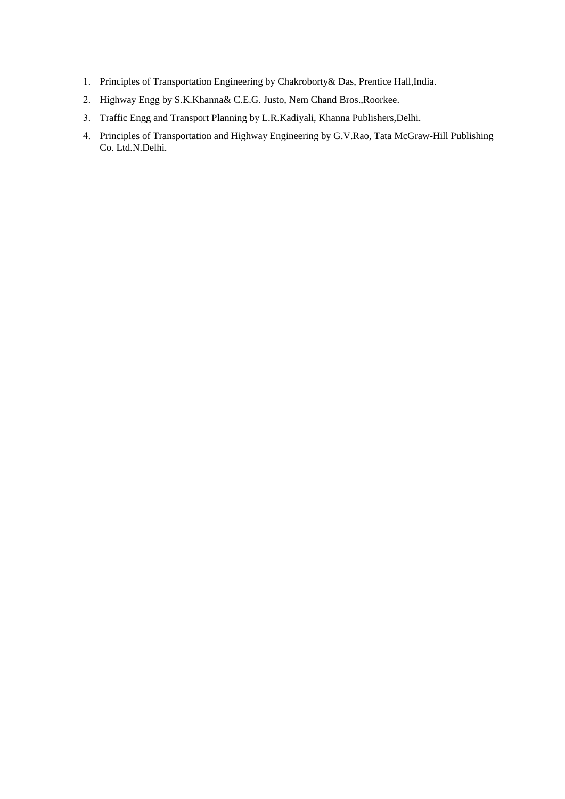- Principles of Transportation Engineering by Chakroborty& Das, Prentice Hall,India.
- Highway Engg by S.K.Khanna& C.E.G. Justo, Nem Chand Bros.,Roorkee.
- Traffic Engg and Transport Planning by L.R.Kadiyali, Khanna Publishers,Delhi.
- Principles of Transportation and Highway Engineering by G.V.Rao, Tata McGraw-Hill Publishing Co. Ltd.N.Delhi.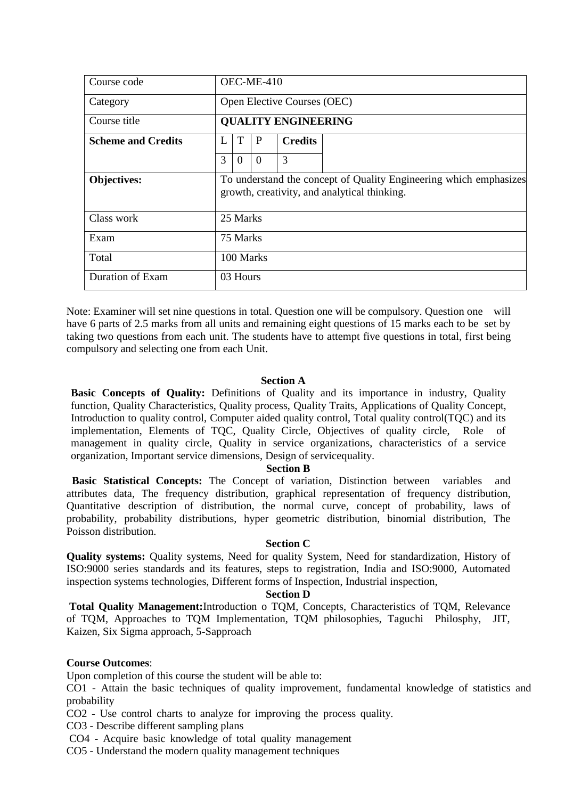| Course code               | OEC-ME-410                  |           |          |                            |                                                                                                                   |  |  |  |  |
|---------------------------|-----------------------------|-----------|----------|----------------------------|-------------------------------------------------------------------------------------------------------------------|--|--|--|--|
| Category                  | Open Elective Courses (OEC) |           |          |                            |                                                                                                                   |  |  |  |  |
| Course title              |                             |           |          | <b>QUALITY ENGINEERING</b> |                                                                                                                   |  |  |  |  |
| <b>Scheme and Credits</b> | L                           | T         | P        | <b>Credits</b>             |                                                                                                                   |  |  |  |  |
|                           | 3                           | $\theta$  | $\Omega$ | 3                          |                                                                                                                   |  |  |  |  |
| <b>Objectives:</b>        |                             |           |          |                            | To understand the concept of Quality Engineering which emphasizes<br>growth, creativity, and analytical thinking. |  |  |  |  |
| Class work                |                             | 25 Marks  |          |                            |                                                                                                                   |  |  |  |  |
| Exam                      |                             | 75 Marks  |          |                            |                                                                                                                   |  |  |  |  |
| Total                     |                             | 100 Marks |          |                            |                                                                                                                   |  |  |  |  |
| Duration of Exam          |                             | 03 Hours  |          |                            |                                                                                                                   |  |  |  |  |

Note: Examiner will set nine questions in total. Question one will be compulsory. Question one will have 6 parts of 2.5 marks from all units and remaining eight questions of 15 marks each to be set by taking two questions from each unit. The students have to attempt five questions in total, first being compulsory and selecting one from each Unit.

### **Section A**

**Basic Concepts of Quality:** Definitions of Quality and its importance in industry, Quality function, Quality Characteristics, Quality process, Quality Traits, Applications of Quality Concept, Introduction to quality control, Computer aided quality control, Total quality control(TQC) and its implementation, Elements of TQC, Quality Circle, Objectives of quality circle, Role of management in quality circle, Quality in service organizations, characteristics of a service organization, Important service dimensions, Design of servicequality.

### **Section B**

**Basic Statistical Concepts:** The Concept of variation, Distinction between variables and attributes data, The frequency distribution, graphical representation of frequency distribution, Quantitative description of distribution, the normal curve, concept of probability, laws of probability, probability distributions, hyper geometric distribution, binomial distribution, The Poisson distribution.

### **Section C**

**Quality systems:** Quality systems, Need for quality System, Need for standardization, History of ISO:9000 series standards and its features, steps to registration, India and ISO:9000, Automated inspection systems technologies, Different forms of Inspection, Industrial inspection,

### **Section D**

**Total Quality Management:**Introduction o TQM, Concepts, Characteristics of TQM, Relevance of TQM, Approaches to TQM Implementation, TQM philosophies, Taguchi Philosphy, JIT, Kaizen, Six Sigma approach, 5-Sapproach

### **Course Outcomes**:

Upon completion of this course the student will be able to:

CO1 - Attain the basic techniques of quality improvement, fundamental knowledge of statistics and probability

CO2 - Use control charts to analyze for improving the process quality.

CO3 - Describe different sampling plans

CO4 - Acquire basic knowledge of total quality management

CO5 - Understand the modern quality management techniques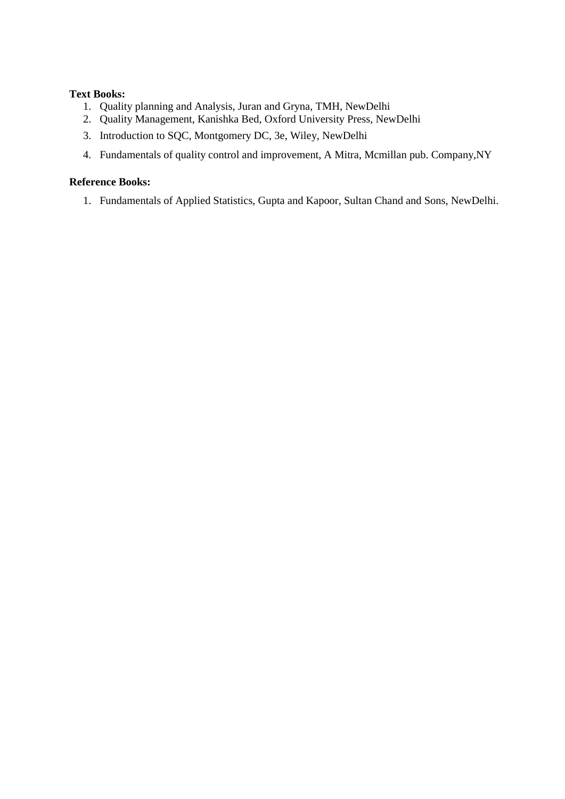### **Text Books:**

- 1. Quality planning and Analysis, Juran and Gryna, TMH, NewDelhi
- 2. Quality Management, Kanishka Bed, Oxford University Press, NewDelhi
- 3. Introduction to SQC, Montgomery DC, 3e, Wiley, NewDelhi
- 4. Fundamentals of quality control and improvement, A Mitra, Mcmillan pub. Company,NY

### **Reference Books:**

1. Fundamentals of Applied Statistics, Gupta and Kapoor, Sultan Chand and Sons, NewDelhi.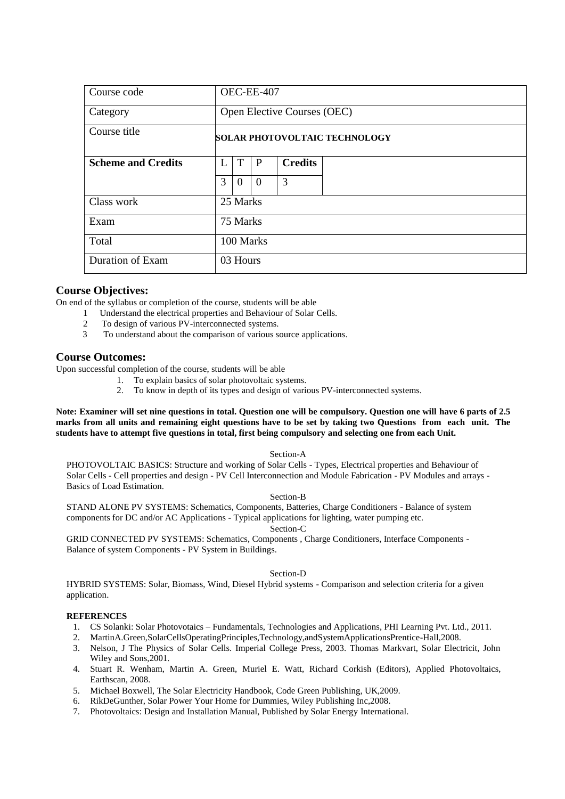| Course code               | OEC-EE-407                           |                |              |                             |  |  |  |  |
|---------------------------|--------------------------------------|----------------|--------------|-----------------------------|--|--|--|--|
| Category                  |                                      |                |              | Open Elective Courses (OEC) |  |  |  |  |
| Course title              | <b>SOLAR PHOTOVOLTAIC TECHNOLOGY</b> |                |              |                             |  |  |  |  |
| <b>Scheme and Credits</b> | L                                    | T              | $\mathbf{P}$ | <b>Credits</b>              |  |  |  |  |
|                           | 3                                    | $\overline{0}$ | $\Omega$     | 3                           |  |  |  |  |
| Class work                |                                      | 25 Marks       |              |                             |  |  |  |  |
| Exam                      |                                      | 75 Marks       |              |                             |  |  |  |  |
| Total                     | 100 Marks                            |                |              |                             |  |  |  |  |
| Duration of Exam          |                                      | 03 Hours       |              |                             |  |  |  |  |

On end of the syllabus or completion of the course, students will be able

- 1 Understand the electrical properties and Behaviour of Solar Cells.
- 2 To design of various PV-interconnected systems.<br>3 To understand about the comparison of various so
- To understand about the comparison of various source applications.

### **Course Outcomes:**

Upon successful completion of the course, students will be able

- 1. To explain basics of solar photovoltaic systems.
- 2. To know in depth of its types and design of various PV-interconnected systems.

**Note: Examiner will set nine questions in total. Question one will be compulsory. Question one will have 6 parts of 2.5 marks from all units and remaining eight questions have to be set by taking two Questions from each unit. The students have to attempt five questions in total, first being compulsory and selecting one from each Unit.**

Section-A

PHOTOVOLTAIC BASICS: Structure and working of Solar Cells - Types, Electrical properties and Behaviour of Solar Cells - Cell properties and design - PV Cell Interconnection and Module Fabrication - PV Modules and arrays - Basics of Load Estimation.

#### Section-B

STAND ALONE PV SYSTEMS: Schematics, Components, Batteries, Charge Conditioners - Balance of system components for DC and/or AC Applications - Typical applications for lighting, water pumping etc.

Section-C

GRID CONNECTED PV SYSTEMS: Schematics, Components , Charge Conditioners, Interface Components - Balance of system Components - PV System in Buildings.

### Section-D

HYBRID SYSTEMS: Solar, Biomass, Wind, Diesel Hybrid systems - Comparison and selection criteria for a given application.

#### **REFERENCES**

- 1. CS Solanki: Solar Photovotaics Fundamentals, Technologies and Applications, PHI Learning Pvt. Ltd., 2011.
- 2. MartinA.Green,SolarCellsOperatingPrinciples,Technology,andSystemApplicationsPrentice-Hall,2008.
- 3. Nelson, J The Physics of Solar Cells. Imperial College Press, 2003. Thomas Markvart, Solar Electricit, John Wiley and Sons,2001.
- 4. Stuart R. Wenham, Martin A. Green, Muriel E. Watt, Richard Corkish (Editors), Applied Photovoltaics, Earthscan, 2008.
- 5. Michael Boxwell, The Solar Electricity Handbook, Code Green Publishing, UK,2009.
- 6. RikDeGunther, Solar Power Your Home for Dummies, Wiley Publishing Inc,2008.
- 7. Photovoltaics: Design and Installation Manual, Published by Solar Energy International.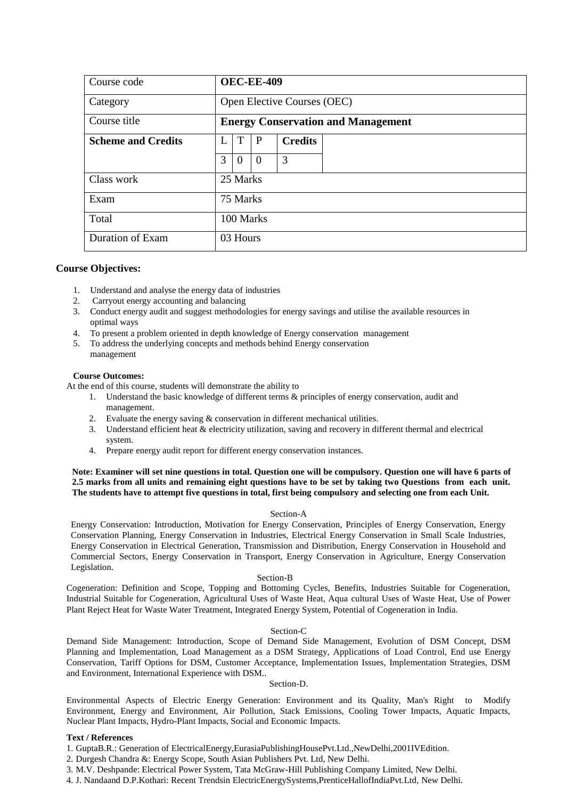| Course code               | <b>OEC-EE-409</b>           |                                           |          |                |  |  |  |  |  |
|---------------------------|-----------------------------|-------------------------------------------|----------|----------------|--|--|--|--|--|
| Category                  | Open Elective Courses (OEC) |                                           |          |                |  |  |  |  |  |
| Course title              |                             | <b>Energy Conservation and Management</b> |          |                |  |  |  |  |  |
| <b>Scheme and Credits</b> | L                           | T                                         | P        | <b>Credits</b> |  |  |  |  |  |
|                           | 3                           | $\overline{0}$                            | $\theta$ | 3              |  |  |  |  |  |
| Class work                |                             | 25 Marks                                  |          |                |  |  |  |  |  |
| Exam                      |                             | 75 Marks                                  |          |                |  |  |  |  |  |
| Total                     | 100 Marks                   |                                           |          |                |  |  |  |  |  |
| Duration of Exam          |                             | 03 Hours                                  |          |                |  |  |  |  |  |

- 1. Understand and analyse the energy data of industries
- 2. Carryout energy accounting and balancing
- 3. Conduct energy audit and suggest methodologies for energy savings and utilise the available resources in optimal ways
- 4. To present a problem oriented in depth knowledge of Energy conservation management
- 5. To address the underlying concepts and methods behind Energy conservation management

### **Course Outcomes:**

At the end of this course, students will demonstrate the ability to

- 1. Understand the basic knowledge of different terms & principles of energy conservation, audit and management.
- 2. Evaluate the energy saving & conservation in different mechanical utilities.
- 3. Understand efficient heat & electricity utilization, saving and recovery in different thermal and electrical system.
- 4. Prepare energy audit report for different energy conservation instances.

**Note: Examiner will set nine questions in total. Question one will be compulsory. Question one will have 6 parts of 2.5 marks from all units and remaining eight questions have to be set by taking two Questions from each unit. The students have to attempt five questions in total, first being compulsory and selecting one from each Unit.**

### Section-A

Energy Conservation: Introduction, Motivation for Energy Conservation, Principles of Energy Conservation, Energy Conservation Planning, Energy Conservation in Industries, Electrical Energy Conservation in Small Scale Industries, Energy Conservation in Electrical Generation, Transmission and Distribution, Energy Conservation in Household and Commercial Sectors, Energy Conservation in Transport, Energy Conservation in Agriculture, Energy Conservation Legislation.

#### Section-B

Cogeneration: Definition and Scope, Topping and Bottoming Cycles, Benefits, Industries Suitable for Cogeneration, Industrial Suitable for Cogeneration, Agricultural Uses of Waste Heat, Aqua cultural Uses of Waste Heat, Use of Power Plant Reject Heat for Waste Water Treatment, Integrated Energy System, Potential of Cogeneration in India.

#### Section-C

Demand Side Management: Introduction, Scope of Demand Side Management, Evolution of DSM Concept, DSM Planning and Implementation, Load Management as a DSM Strategy, Applications of Load Control, End use Energy Conservation, Tariff Options for DSM, Customer Acceptance, Implementation Issues, Implementation Strategies, DSM and Environment, International Experience with DSM..

### Section-D.

Environmental Aspects of Electric Energy Generation: Environment and its Quality, Man's Right to Modify Environment, Energy and Environment, Air Pollution, Stack Emissions, Cooling Tower Impacts, Aquatic Impacts, Nuclear Plant Impacts, Hydro-Plant Impacts, Social and Economic Impacts.

### **Text / References**

1. GuptaB.R.: Generation of ElectricalEnergy,EurasiaPublishingHousePvt.Ltd.,NewDelhi,2001IVEdition.

2. Durgesh Chandra &: Energy Scope, South Asian Publishers Pvt. Ltd, New Delhi.

3. M.V. Deshpande: Electrical Power System, Tata McGraw-Hill Publishing Company Limited, New Delhi.

4. J. Nandaand D.P.Kothari: Recent Trendsin ElectricEnergySystems,PrenticeHallofIndiaPvt.Ltd, New Delhi.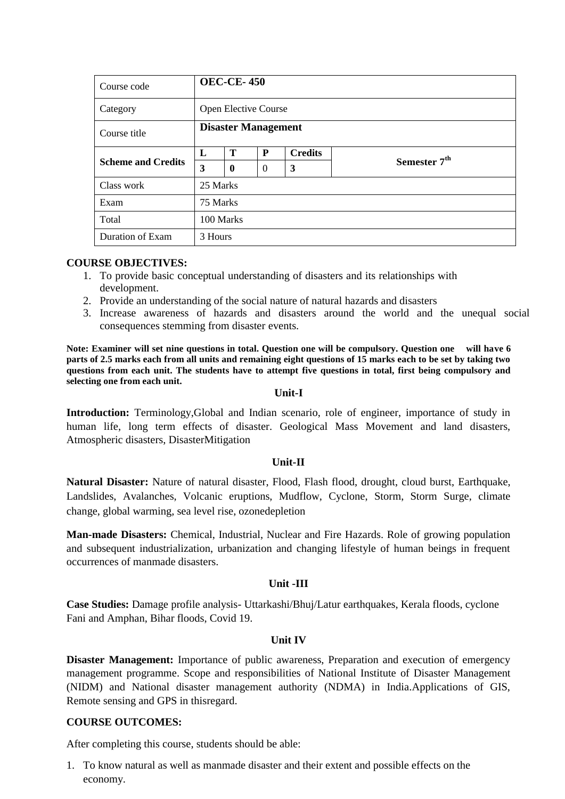| Course code               |          | <b>OEC-CE-450</b>           |                |                |                          |  |  |  |  |  |
|---------------------------|----------|-----------------------------|----------------|----------------|--------------------------|--|--|--|--|--|
| Category                  |          | <b>Open Elective Course</b> |                |                |                          |  |  |  |  |  |
| Course title              |          | <b>Disaster Management</b>  |                |                |                          |  |  |  |  |  |
| <b>Scheme and Credits</b> | L        | T                           | P              | <b>Credits</b> |                          |  |  |  |  |  |
|                           | 3        | $\boldsymbol{0}$            | $\overline{0}$ | 3              | Semester 7 <sup>th</sup> |  |  |  |  |  |
| Class work                | 25 Marks |                             |                |                |                          |  |  |  |  |  |
| Exam                      | 75 Marks |                             |                |                |                          |  |  |  |  |  |
| Total                     |          | 100 Marks                   |                |                |                          |  |  |  |  |  |
| Duration of Exam          | 3 Hours  |                             |                |                |                          |  |  |  |  |  |

### **COURSE OBJECTIVES:**

- 1. To provide basic conceptual understanding of disasters and its relationships with development.
- 2. Provide an understanding of the social nature of natural hazards and disasters
- 3. Increase awareness of hazards and disasters around the world and the unequal social consequences stemming from disaster events.

**Note: Examiner will set nine questions in total. Question one will be compulsory. Question one will have 6 parts of 2.5 marks each from all units and remaining eight questions of 15 marks each to be set by taking two questions from each unit. The students have to attempt five questions in total, first being compulsory and selecting one from each unit.**

### **Unit-I**

**Introduction:** Terminology,Global and Indian scenario, role of engineer, importance of study in human life, long term effects of disaster. Geological Mass Movement and land disasters, Atmospheric disasters, DisasterMitigation

### **Unit-II**

**Natural Disaster:** Nature of natural disaster, Flood, Flash flood, drought, cloud burst, Earthquake, Landslides, Avalanches, Volcanic eruptions, Mudflow, Cyclone, Storm, Storm Surge, climate change, global warming, sea level rise, ozonedepletion

**Man-made Disasters:** Chemical, Industrial, Nuclear and Fire Hazards. Role of growing population and subsequent industrialization, urbanization and changing lifestyle of human beings in frequent occurrences of manmade disasters.

### **Unit -III**

**Case Studies:** Damage profile analysis- Uttarkashi/Bhuj/Latur earthquakes, Kerala floods, cyclone Fani and Amphan, Bihar floods, Covid 19.

### **Unit IV**

**Disaster Management:** Importance of public awareness, Preparation and execution of emergency management programme. Scope and responsibilities of National Institute of Disaster Management (NIDM) and National disaster management authority (NDMA) in India.Applications of GIS, Remote sensing and GPS in thisregard.

### **COURSE OUTCOMES:**

After completing this course, students should be able:

1. To know natural as well as manmade disaster and their extent and possible effects on the economy.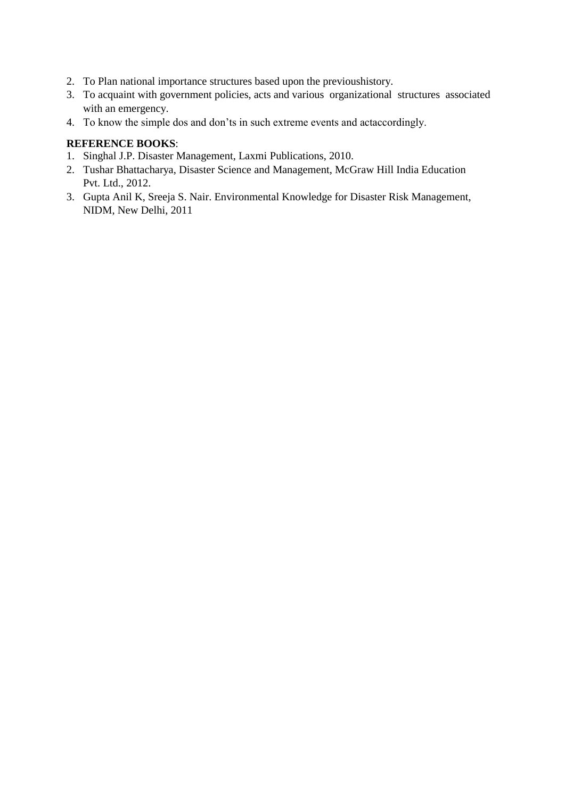- 2. To Plan national importance structures based upon the previoushistory.
- 3. To acquaint with government policies, acts and various organizational structures associated with an emergency.
- 4. To know the simple dos and don'ts in such extreme events and actaccordingly.

### **REFERENCE BOOKS**:

- 1. Singhal J.P. Disaster Management, Laxmi Publications, 2010.
- 2. Tushar Bhattacharya, Disaster Science and Management, McGraw Hill India Education Pvt. Ltd., 2012.
- 3. Gupta Anil K, Sreeja S. Nair. Environmental Knowledge for Disaster Risk Management, NIDM, New Delhi, 2011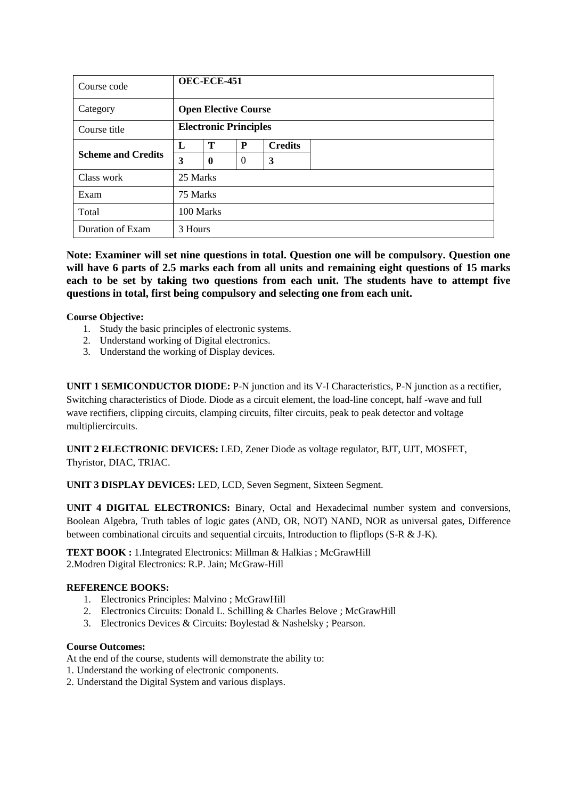| Course code               |          | <b>OEC-ECE-451</b>           |                |                |  |  |  |  |  |
|---------------------------|----------|------------------------------|----------------|----------------|--|--|--|--|--|
| Category                  |          | <b>Open Elective Course</b>  |                |                |  |  |  |  |  |
| Course title              |          | <b>Electronic Principles</b> |                |                |  |  |  |  |  |
| <b>Scheme and Credits</b> | L        | Т                            | P              | <b>Credits</b> |  |  |  |  |  |
|                           | 3        | $\mathbf 0$                  | $\overline{0}$ | 3              |  |  |  |  |  |
| Class work                | 25 Marks |                              |                |                |  |  |  |  |  |
| Exam                      | 75 Marks |                              |                |                |  |  |  |  |  |
| Total                     |          | 100 Marks                    |                |                |  |  |  |  |  |
| Duration of Exam          | 3 Hours  |                              |                |                |  |  |  |  |  |

**Note: Examiner will set nine questions in total. Question one will be compulsory. Question one will have 6 parts of 2.5 marks each from all units and remaining eight questions of 15 marks each to be set by taking two questions from each unit. The students have to attempt five questions in total, first being compulsory and selecting one from each unit.**

### **Course Objective:**

- 1. Study the basic principles of electronic systems.
- 2. Understand working of Digital electronics.
- 3. Understand the working of Display devices.

**UNIT 1 SEMICONDUCTOR DIODE:** P-N junction and its V-I Characteristics, P-N junction as a rectifier, Switching characteristics of Diode. Diode as a circuit element, the load-line concept, half -wave and full wave rectifiers, clipping circuits, clamping circuits, filter circuits, peak to peak detector and voltage multipliercircuits.

**UNIT 2 ELECTRONIC DEVICES:** LED, Zener Diode as voltage regulator, BJT, UJT, MOSFET, Thyristor, DIAC, TRIAC.

**UNIT 3 DISPLAY DEVICES:** LED, LCD, Seven Segment, Sixteen Segment.

**UNIT 4 DIGITAL ELECTRONICS:** Binary, Octal and Hexadecimal number system and conversions, Boolean Algebra, Truth tables of logic gates (AND, OR, NOT) NAND, NOR as universal gates, Difference between combinational circuits and sequential circuits, Introduction to flipflops (S-R & J-K).

**TEXT BOOK :** 1.Integrated Electronics: Millman & Halkias ; McGrawHill 2.Modren Digital Electronics: R.P. Jain; McGraw-Hill

### **REFERENCE BOOKS:**

- 1. Electronics Principles: Malvino ; McGrawHill
- 2. Electronics Circuits: Donald L. Schilling & Charles Belove ; McGrawHill
- 3. Electronics Devices & Circuits: Boylestad & Nashelsky ; Pearson.

### **Course Outcomes:**

At the end of the course, students will demonstrate the ability to:

- 1. Understand the working of electronic components.
- 2. Understand the Digital System and various displays.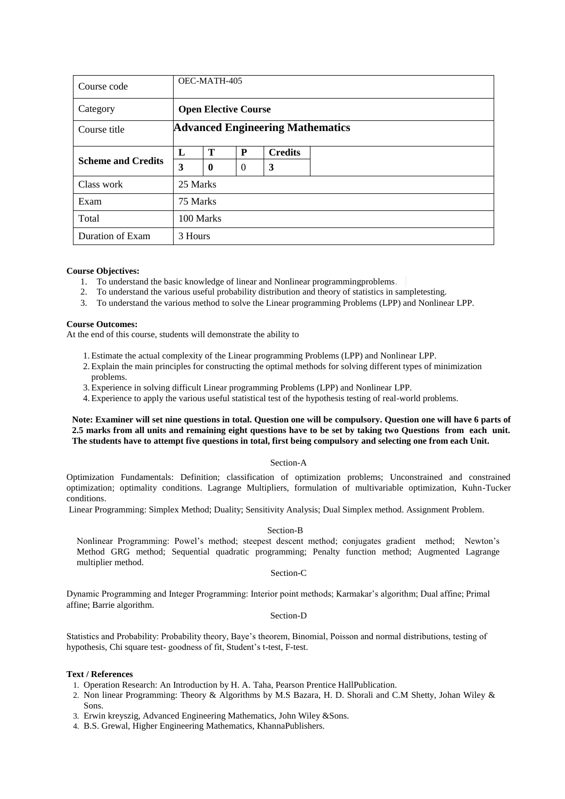| Course code               |          | OEC-MATH-405                            |          |                |  |  |  |  |  |
|---------------------------|----------|-----------------------------------------|----------|----------------|--|--|--|--|--|
| Category                  |          | <b>Open Elective Course</b>             |          |                |  |  |  |  |  |
| Course title              |          | <b>Advanced Engineering Mathematics</b> |          |                |  |  |  |  |  |
| <b>Scheme and Credits</b> | L        | T                                       | P        | <b>Credits</b> |  |  |  |  |  |
|                           | 3        | $\boldsymbol{0}$                        | $\Omega$ | 3              |  |  |  |  |  |
| Class work                | 25 Marks |                                         |          |                |  |  |  |  |  |
| Exam                      | 75 Marks |                                         |          |                |  |  |  |  |  |
| Total                     |          | 100 Marks                               |          |                |  |  |  |  |  |
| Duration of Exam          | 3 Hours  |                                         |          |                |  |  |  |  |  |

- 1. To understand the basic knowledge of linear and Nonlinear programmingproblems.
- 2. To understand the various useful probability distribution and theory of statistics in sampletesting.
- 3. To understand the various method to solve the Linear programming Problems (LPP) and Nonlinear LPP.

#### **Course Outcomes:**

At the end of this course, students will demonstrate the ability to

- 1. Estimate the actual complexity of the Linear programming Problems (LPP) and Nonlinear LPP.
- 2. Explain the main principles for constructing the optimal methods for solving different types of minimization problems.
- 3. Experience in solving difficult Linear programming Problems (LPP) and Nonlinear LPP.
- 4. Experience to apply the various useful statistical test of the hypothesis testing of real-world problems.

### **Note: Examiner will set nine questions in total. Question one will be compulsory. Question one will have 6 parts of 2.5 marks from all units and remaining eight questions have to be set by taking two Questions from each unit. The students have to attempt five questions in total, first being compulsory and selecting one from each Unit.**

#### Section-A

Optimization Fundamentals: Definition; classification of optimization problems; Unconstrained and constrained optimization; optimality conditions. Lagrange Multipliers, formulation of multivariable optimization, Kuhn-Tucker conditions.

Linear Programming: Simplex Method; Duality; Sensitivity Analysis; Dual Simplex method. Assignment Problem.

#### Section-B

Nonlinear Programming: Powel's method; steepest descent method; conjugates gradient method; Newton's Method GRG method; Sequential quadratic programming; Penalty function method; Augmented Lagrange multiplier method.

#### Section-C

Dynamic Programming and Integer Programming: Interior point methods; Karmakar's algorithm; Dual affine; Primal affine; Barrie algorithm.

### Section-D

Statistics and Probability: Probability theory, Baye's theorem, Binomial, Poisson and normal distributions, testing of hypothesis, Chi square test- goodness of fit, Student's t-test, F-test.

- 1. Operation Research: An Introduction by H. A. Taha, Pearson Prentice HallPublication.
- 2. Non linear Programming: Theory & Algorithms by M.S Bazara, H. D. Shorali and C.M Shetty, Johan Wiley & Sons.
- 3. Erwin kreyszig, Advanced Engineering Mathematics, John Wiley &Sons.
- 4. B.S. Grewal, Higher Engineering Mathematics, KhannaPublishers.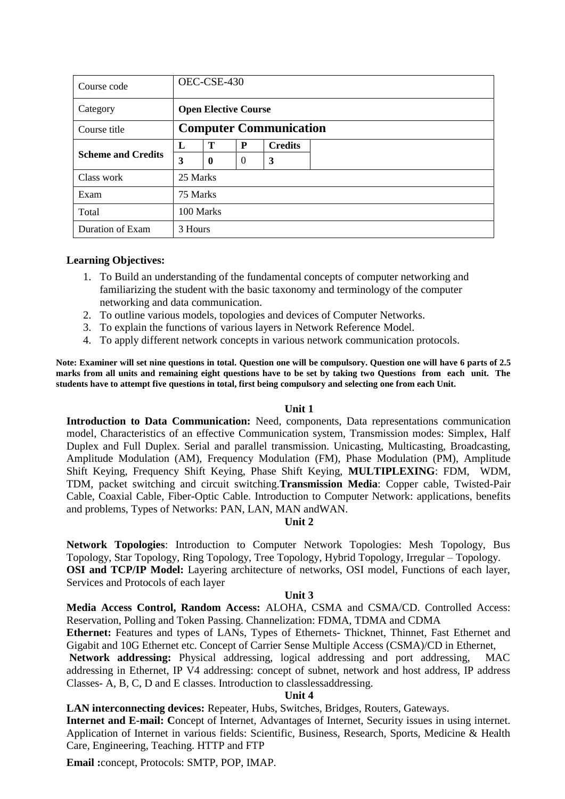| Course code               |          | OEC-CSE-430                   |                |                |  |  |  |  |  |
|---------------------------|----------|-------------------------------|----------------|----------------|--|--|--|--|--|
| Category                  |          | <b>Open Elective Course</b>   |                |                |  |  |  |  |  |
| Course title              |          | <b>Computer Communication</b> |                |                |  |  |  |  |  |
| <b>Scheme and Credits</b> | L        | Т                             | P              | <b>Credits</b> |  |  |  |  |  |
|                           | 3        | $\bf{0}$                      | $\overline{0}$ | 3              |  |  |  |  |  |
| Class work                | 25 Marks |                               |                |                |  |  |  |  |  |
| Exam                      | 75 Marks |                               |                |                |  |  |  |  |  |
| Total                     |          | 100 Marks                     |                |                |  |  |  |  |  |
| Duration of Exam          | 3 Hours  |                               |                |                |  |  |  |  |  |

### **Learning Objectives:**

- 1. To Build an understanding of the fundamental concepts of computer networking and familiarizing the student with the basic taxonomy and terminology of the computer networking and data communication.
- 2. To outline various models, topologies and devices of Computer Networks.
- 3. To explain the functions of various layers in Network Reference Model.
- 4. To apply different network concepts in various network communication protocols.

**Note: Examiner will set nine questions in total. Question one will be compulsory. Question one will have 6 parts of 2.5 marks from all units and remaining eight questions have to be set by taking two Questions from each unit. The students have to attempt five questions in total, first being compulsory and selecting one from each Unit.**

### **Unit 1**

**Introduction to Data Communication:** Need, components, Data representations communication model, Characteristics of an effective Communication system, Transmission modes: Simplex, Half Duplex and Full Duplex. Serial and parallel transmission. Unicasting, Multicasting, Broadcasting, Amplitude Modulation (AM), Frequency Modulation (FM), Phase Modulation (PM), Amplitude Shift Keying, Frequency Shift Keying, Phase Shift Keying, **MULTIPLEXING**: FDM, WDM, TDM, packet switching and circuit switching.**Transmission Media**: Copper cable, Twisted-Pair Cable, Coaxial Cable, Fiber-Optic Cable. Introduction to Computer Network: applications, benefits and problems, Types of Networks: PAN, LAN, MAN andWAN.

### **Unit 2**

**Network Topologies**: Introduction to Computer Network Topologies: Mesh Topology, Bus Topology, Star Topology, Ring Topology, Tree Topology, Hybrid Topology, Irregular – Topology. **OSI and TCP/IP Model:** Layering architecture of networks, OSI model, Functions of each layer, Services and Protocols of each layer

### **Unit 3**

**Media Access Control, Random Access:** ALOHA, CSMA and CSMA/CD. Controlled Access: Reservation, Polling and Token Passing. Channelization: FDMA, TDMA and CDMA

**Ethernet:** Features and types of LANs, Types of Ethernets- Thicknet, Thinnet, Fast Ethernet and Gigabit and 10G Ethernet etc. Concept of Carrier Sense Multiple Access (CSMA)/CD in Ethernet,

**Network addressing:** Physical addressing, logical addressing and port addressing, MAC addressing in Ethernet, IP V4 addressing: concept of subnet, network and host address, IP address Classes- A, B, C, D and E classes. Introduction to classlessaddressing.

### **Unit 4**

**LAN interconnecting devices:** Repeater, Hubs, Switches, Bridges, Routers, Gateways.

**Internet and E-mail: C**oncept of Internet, Advantages of Internet, Security issues in using internet. Application of Internet in various fields: Scientific, Business, Research, Sports, Medicine & Health Care, Engineering, Teaching. HTTP and FTP

**Email :**concept, Protocols: SMTP, POP, IMAP.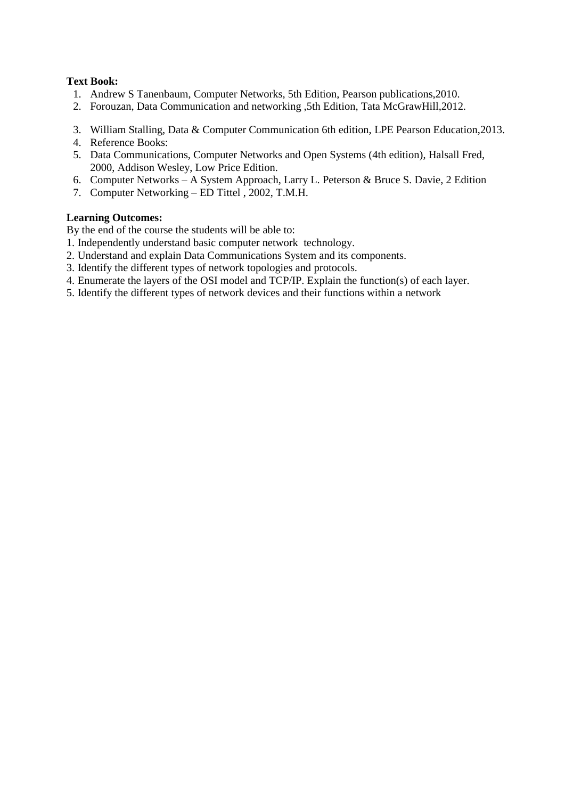### **Text Book:**

- 1. Andrew S Tanenbaum, Computer Networks, 5th Edition, Pearson publications,2010.
- 2. Forouzan, Data Communication and networking ,5th Edition, Tata McGrawHill,2012.
- 3. William Stalling, Data & Computer Communication 6th edition, LPE Pearson Education,2013.
- 4. Reference Books:
- 5. Data Communications, Computer Networks and Open Systems (4th edition), Halsall Fred, 2000, Addison Wesley, Low Price Edition.
- 6. Computer Networks A System Approach, Larry L. Peterson & Bruce S. Davie, 2 Edition
- 7. Computer Networking ED Tittel , 2002, T.M.H.

### **Learning Outcomes:**

By the end of the course the students will be able to:

- 1. Independently understand basic computer network technology.
- 2. Understand and explain Data Communications System and its components.
- 3. Identify the different types of network topologies and protocols.
- 4. Enumerate the layers of the OSI model and TCP/IP. Explain the function(s) of each layer.
- 5. Identify the different types of network devices and their functions within a network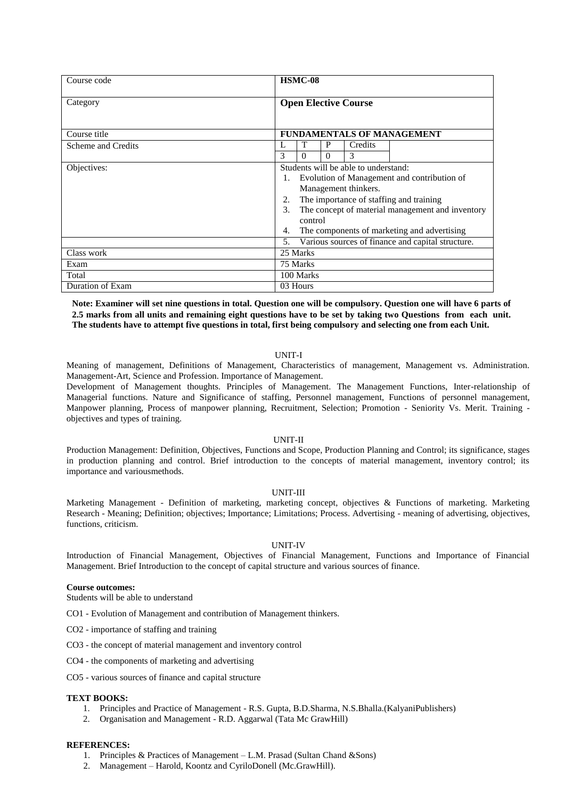| Course code        | HSMC-08                                                                                                                                                                                                                                                                                                                                                 |
|--------------------|---------------------------------------------------------------------------------------------------------------------------------------------------------------------------------------------------------------------------------------------------------------------------------------------------------------------------------------------------------|
| Category           | <b>Open Elective Course</b>                                                                                                                                                                                                                                                                                                                             |
| Course title       | FUNDAMENTALS OF MANAGEMENT                                                                                                                                                                                                                                                                                                                              |
| Scheme and Credits | T<br>P<br>L<br>Credits                                                                                                                                                                                                                                                                                                                                  |
|                    | 3<br>3<br>0<br>$\Omega$                                                                                                                                                                                                                                                                                                                                 |
| Objectives:        | Students will be able to understand:<br>Evolution of Management and contribution of<br>1.<br>Management thinkers.<br>The importance of staffing and training<br>2.<br>The concept of material management and inventory<br>3.<br>control<br>The components of marketing and advertising<br>4.<br>Various sources of finance and capital structure.<br>5. |
| Class work         | 25 Marks                                                                                                                                                                                                                                                                                                                                                |
| Exam               | 75 Marks                                                                                                                                                                                                                                                                                                                                                |
| Total              | 100 Marks                                                                                                                                                                                                                                                                                                                                               |
| Duration of Exam   | 03 Hours                                                                                                                                                                                                                                                                                                                                                |

**Note: Examiner will set nine questions in total. Question one will be compulsory. Question one will have 6 parts of 2.5 marks from all units and remaining eight questions have to be set by taking two Questions from each unit. The students have to attempt five questions in total, first being compulsory and selecting one from each Unit.**

### UNIT-I

Meaning of management, Definitions of Management, Characteristics of management, Management vs. Administration. Management-Art, Science and Profession. Importance of Management.

Development of Management thoughts. Principles of Management. The Management Functions, Inter-relationship of Managerial functions. Nature and Significance of staffing, Personnel management, Functions of personnel management, Manpower planning, Process of manpower planning, Recruitment, Selection; Promotion - Seniority Vs. Merit. Training objectives and types of training.

### UNIT-II

Production Management: Definition, Objectives, Functions and Scope, Production Planning and Control; its significance, stages in production planning and control. Brief introduction to the concepts of material management, inventory control; its importance and variousmethods.

### UNIT-III

Marketing Management - Definition of marketing, marketing concept, objectives & Functions of marketing. Marketing Research - Meaning; Definition; objectives; Importance; Limitations; Process. Advertising - meaning of advertising, objectives, functions, criticism.

#### UNIT-IV

Introduction of Financial Management, Objectives of Financial Management, Functions and Importance of Financial Management. Brief Introduction to the concept of capital structure and various sources of finance.

#### **Course outcomes:**

Students will be able to understand

CO1 - Evolution of Management and contribution of Management thinkers.

- CO2 importance of staffing and training
- CO3 the concept of material management and inventory control

CO4 - the components of marketing and advertising

CO5 - various sources of finance and capital structure

### **TEXT BOOKS:**

- 1. Principles and Practice of Management R.S. Gupta, B.D.Sharma, N.S.Bhalla.(KalyaniPublishers)
- 2. Organisation and Management R.D. Aggarwal (Tata Mc GrawHill)

### **REFERENCES:**

- 1. Principles & Practices of Management L.M. Prasad (Sultan Chand &Sons)
- 2. Management Harold, Koontz and CyriloDonell (Mc.GrawHill).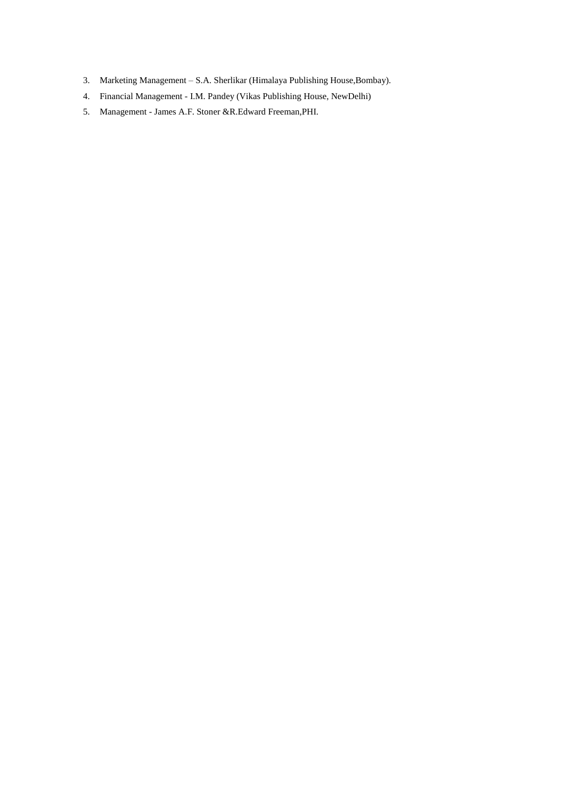- 3. Marketing Management S.A. Sherlikar (Himalaya Publishing House,Bombay).
- 4. Financial Management I.M. Pandey (Vikas Publishing House, NewDelhi)
- 5. Management James A.F. Stoner &R.Edward Freeman,PHI.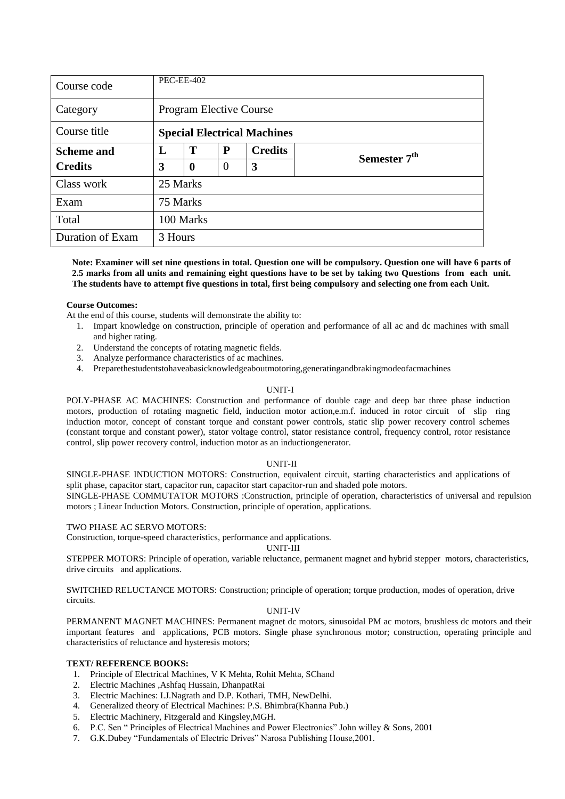| Course code       |          | <b>PEC-EE-402</b>                  |          |                |                          |  |  |  |  |
|-------------------|----------|------------------------------------|----------|----------------|--------------------------|--|--|--|--|
| Category          |          | <b>Program Elective Course</b>     |          |                |                          |  |  |  |  |
| Course title      |          | <b>Special Electrical Machines</b> |          |                |                          |  |  |  |  |
| <b>Scheme and</b> | L        | T                                  | P        | <b>Credits</b> | Semester 7 <sup>th</sup> |  |  |  |  |
| <b>Credits</b>    | 3        | $\boldsymbol{0}$                   | $\Omega$ | 3              |                          |  |  |  |  |
| Class work        | 25 Marks |                                    |          |                |                          |  |  |  |  |
| Exam              | 75 Marks |                                    |          |                |                          |  |  |  |  |
| Total             |          | 100 Marks                          |          |                |                          |  |  |  |  |
| Duration of Exam  | 3 Hours  |                                    |          |                |                          |  |  |  |  |

**Note: Examiner will set nine questions in total. Question one will be compulsory. Question one will have 6 parts of 2.5 marks from all units and remaining eight questions have to be set by taking two Questions from each unit. The students have to attempt five questions in total, first being compulsory and selecting one from each Unit.**

### **Course Outcomes:**

At the end of this course, students will demonstrate the ability to:

- 1. Impart knowledge on construction, principle of operation and performance of all ac and dc machines with small and higher rating.
- 2. Understand the concepts of rotating magnetic fields.
- 3. Analyze performance characteristics of ac machines.
- 4. Preparethestudentstohaveabasicknowledgeaboutmotoring,generatingandbrakingmodeofacmachines

### UNIT-I

POLY-PHASE AC MACHINES: Construction and performance of double cage and deep bar three phase induction motors, production of rotating magnetic field, induction motor action,e.m.f. induced in rotor circuit of slip ring induction motor, concept of constant torque and constant power controls, static slip power recovery control schemes (constant torque and constant power), stator voltage control, stator resistance control, frequency control, rotor resistance control, slip power recovery control, induction motor as an inductiongenerator.

### UNIT-II

SINGLE-PHASE INDUCTION MOTORS: Construction, equivalent circuit, starting characteristics and applications of split phase, capacitor start, capacitor run, capacitor start capacitor-run and shaded pole motors.

SINGLE-PHASE COMMUTATOR MOTORS :Construction, principle of operation, characteristics of universal and repulsion motors ; Linear Induction Motors. Construction, principle of operation, applications.

### TWO PHASE AC SERVO MOTORS:

Construction, torque-speed characteristics, performance and applications.

### UNIT-III

STEPPER MOTORS: Principle of operation, variable reluctance, permanent magnet and hybrid stepper motors, characteristics, drive circuits and applications.

SWITCHED RELUCTANCE MOTORS: Construction; principle of operation; torque production, modes of operation, drive circuits.

### UNIT-IV

PERMANENT MAGNET MACHINES: Permanent magnet dc motors, sinusoidal PM ac motors, brushless dc motors and their important features and applications, PCB motors. Single phase synchronous motor; construction, operating principle and characteristics of reluctance and hysteresis motors;

### **TEXT/ REFERENCE BOOKS:**

- 1. Principle of Electrical Machines, V K Mehta, Rohit Mehta, SChand
- 2. Electric Machines ,Ashfaq Hussain, DhanpatRai
- 3. Electric Machines: I.J.Nagrath and D.P. Kothari, TMH, NewDelhi.
- 4. Generalized theory of Electrical Machines: P.S. Bhimbra(Khanna Pub.)
- 5. Electric Machinery, Fitzgerald and Kingsley,MGH.
- 6. P.C. Sen "Principles of Electrical Machines and Power Electronics" John willey & Sons, 2001
- 7. G.K.Dubey "Fundamentals of Electric Drives" Narosa Publishing House, 2001.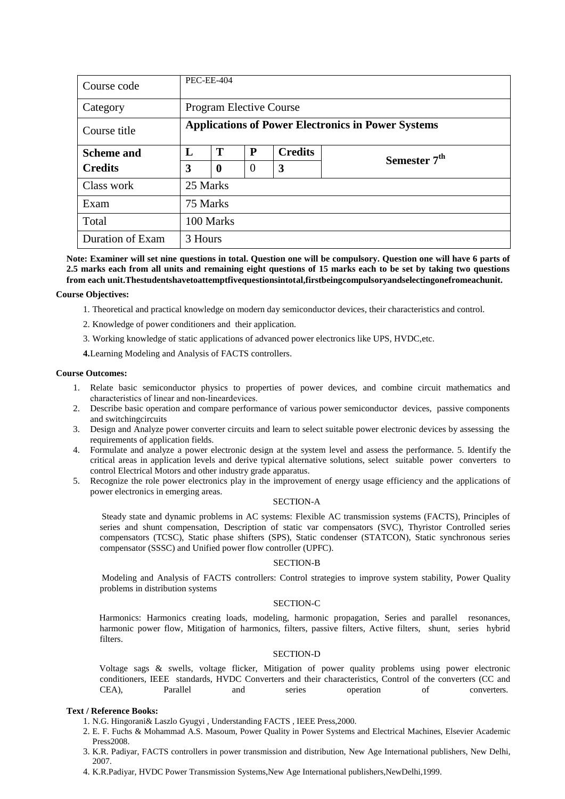| Course code       | <b>PEC-EE-404</b> |                                                           |          |                |                          |  |  |  |  |  |
|-------------------|-------------------|-----------------------------------------------------------|----------|----------------|--------------------------|--|--|--|--|--|
| Category          |                   | Program Elective Course                                   |          |                |                          |  |  |  |  |  |
| Course title      |                   | <b>Applications of Power Electronics in Power Systems</b> |          |                |                          |  |  |  |  |  |
| <b>Scheme and</b> | L                 | T                                                         | P        | <b>Credits</b> | Semester 7 <sup>th</sup> |  |  |  |  |  |
| <b>Credits</b>    | 3                 | $\boldsymbol{0}$                                          | $\theta$ | 3              |                          |  |  |  |  |  |
| Class work        | 25 Marks          |                                                           |          |                |                          |  |  |  |  |  |
| Exam              | 75 Marks          |                                                           |          |                |                          |  |  |  |  |  |
| Total             |                   | 100 Marks                                                 |          |                |                          |  |  |  |  |  |
| Duration of Exam  | 3 Hours           |                                                           |          |                |                          |  |  |  |  |  |

**Note: Examiner will set nine questions in total. Question one will be compulsory. Question one will have 6 parts of 2.5 marks each from all units and remaining eight questions of 15 marks each to be set by taking two questions from each unit.Thestudentshavetoattemptfivequestionsintotal,firstbeingcompulsoryandselectingonefromeachunit.**

#### **Course Objectives:**

- 1. Theoretical and practical knowledge on modern day semiconductor devices, their characteristics and control.
- 2. Knowledge of power conditioners and their application.
- 3. Working knowledge of static applications of advanced power electronics like UPS, HVDC,etc.

**4.**Learning Modeling and Analysis of FACTS controllers.

#### **Course Outcomes:**

- 1. Relate basic semiconductor physics to properties of power devices, and combine circuit mathematics and characteristics of linear and non‐lineardevices.
- 2. Describe basic operation and compare performance of various power semiconductor devices, passive components and switchingcircuits
- 3. Design and Analyze power converter circuits and learn to select suitable power electronic devices by assessing the requirements of application fields.
- 4. Formulate and analyze a power electronic design at the system level and assess the performance. 5. Identify the critical areas in application levels and derive typical alternative solutions, select suitable power converters to control Electrical Motors and other industry grade apparatus.
- 5. Recognize the role power electronics play in the improvement of energy usage efficiency and the applications of power electronics in emerging areas.

### SECTION-A

Steady state and dynamic problems in AC systems: Flexible AC transmission systems (FACTS), Principles of series and shunt compensation, Description of static var compensators (SVC), Thyristor Controlled series compensators (TCSC), Static phase shifters (SPS), Static condenser (STATCON), Static synchronous series compensator (SSSC) and Unified power flow controller (UPFC).

#### SECTION-B

Modeling and Analysis of FACTS controllers: Control strategies to improve system stability, Power Quality problems in distribution systems

### SECTION-C

Harmonics: Harmonics creating loads, modeling, harmonic propagation, Series and parallel resonances, harmonic power flow, Mitigation of harmonics, filters, passive filters, Active filters, shunt, series hybrid filters.

### SECTION-D

Voltage sags & swells, voltage flicker, Mitigation of power quality problems using power electronic conditioners, IEEE standards, HVDC Converters and their characteristics, Control of the converters (CC and CEA), Parallel and series operation of converters.

### **Text / Reference Books:**

- 1. N.G. Hingorani& Laszlo Gyugyi , Understanding FACTS , IEEE Press,2000.
- 2. E. F. Fuchs & Mohammad A.S. Masoum, Power Quality in Power Systems and Electrical Machines, Elsevier Academic Press2008.
- 3. K.R. Padiyar, FACTS controllers in power transmission and distribution, New Age International publishers, New Delhi, 2007.
- 4. K.R.Padiyar, HVDC Power Transmission Systems,New Age International publishers,NewDelhi,1999.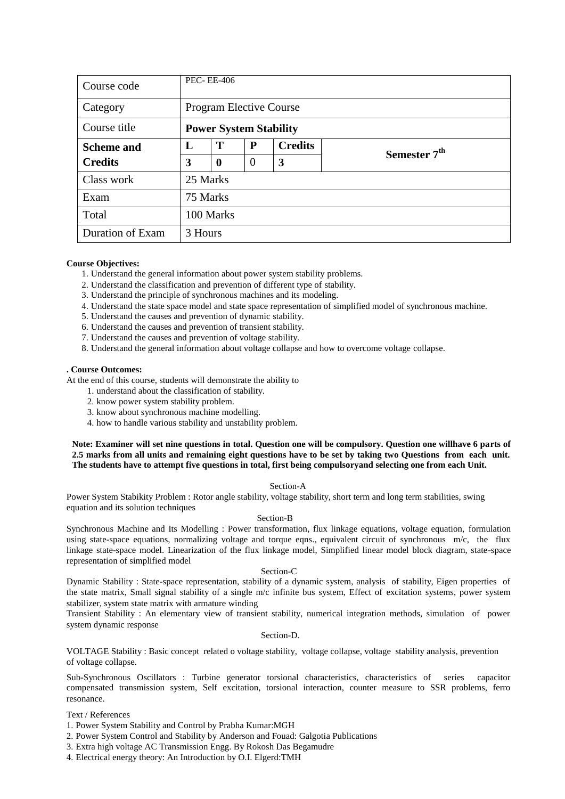| Course code       | <b>PEC-EE-406</b> |                               |                |                |                          |  |  |  |  |  |
|-------------------|-------------------|-------------------------------|----------------|----------------|--------------------------|--|--|--|--|--|
| Category          |                   | Program Elective Course       |                |                |                          |  |  |  |  |  |
| Course title      |                   | <b>Power System Stability</b> |                |                |                          |  |  |  |  |  |
| <b>Scheme and</b> | L                 | T                             | P              | <b>Credits</b> | Semester 7 <sup>th</sup> |  |  |  |  |  |
| <b>Credits</b>    | 3                 | $\boldsymbol{0}$              | $\overline{0}$ | 3              |                          |  |  |  |  |  |
| Class work        | 25 Marks          |                               |                |                |                          |  |  |  |  |  |
| Exam              | 75 Marks          |                               |                |                |                          |  |  |  |  |  |
| Total             |                   | 100 Marks                     |                |                |                          |  |  |  |  |  |
| Duration of Exam  | 3 Hours           |                               |                |                |                          |  |  |  |  |  |

- 1. Understand the general information about power system stability problems.
- 2. Understand the classification and prevention of different type of stability.
- 3. Understand the principle of synchronous machines and its modeling.
- 4. Understand the state space model and state space representation of simplified model of synchronous machine.
- 5. Understand the causes and prevention of dynamic stability.
- 6. Understand the causes and prevention of transient stability.
- 7. Understand the causes and prevention of voltage stability.
- 8. Understand the general information about voltage collapse and how to overcome voltage collapse.

### **. Course Outcomes:**

At the end of this course, students will demonstrate the ability to

- 1. understand about the classification of stability.
- 2. know power system stability problem.
- 3. know about synchronous machine modelling.
- 4. how to handle various stability and unstability problem.

**Note: Examiner will set nine questions in total. Question one will be compulsory. Question one willhave 6 parts of 2.5 marks from all units and remaining eight questions have to be set by taking two Questions from each unit. The students have to attempt five questions in total, first being compulsoryand selecting one from each Unit.**

### Section-A

Power System Stabikity Problem : Rotor angle stability, voltage stability, short term and long term stabilities, swing equation and its solution techniques

### Section-B

Synchronous Machine and Its Modelling : Power transformation, flux linkage equations, voltage equation, formulation using state-space equations, normalizing voltage and torque eqns., equivalent circuit of synchronous m/c, the flux linkage state-space model. Linearization of the flux linkage model, Simplified linear model block diagram, state-space representation of simplified model

#### Section-C

Dynamic Stability : State-space representation, stability of a dynamic system, analysis of stability, Eigen properties of the state matrix, Small signal stability of a single m/c infinite bus system, Effect of excitation systems, power system stabilizer, system state matrix with armature winding

Transient Stability : An elementary view of transient stability, numerical integration methods, simulation of power system dynamic response

Section-D.

VOLTAGE Stability : Basic concept related o voltage stability, voltage collapse, voltage stability analysis, prevention of voltage collapse.

Sub-Synchronous Oscillators : Turbine generator torsional characteristics, characteristics of series capacitor compensated transmission system, Self excitation, torsional interaction, counter measure to SSR problems, ferro resonance.

- 1. Power System Stability and Control by Prabha Kumar:MGH
- 2. Power System Control and Stability by Anderson and Fouad: Galgotia Publications
- 3. Extra high voltage AC Transmission Engg. By Rokosh Das Begamudre
- 4. Electrical energy theory: An Introduction by O.I. Elgerd:TMH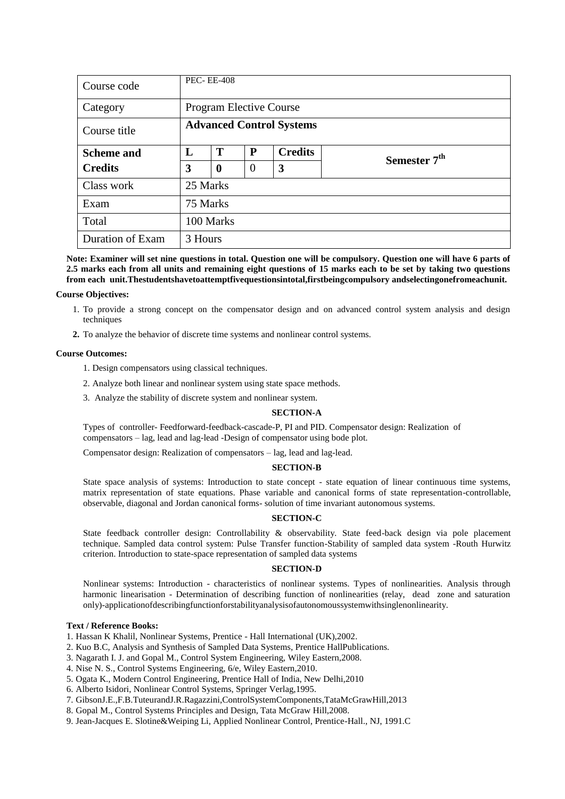| Course code       | <b>PEC-EE-408</b> |                                 |                |                |                          |  |  |  |  |
|-------------------|-------------------|---------------------------------|----------------|----------------|--------------------------|--|--|--|--|
| Category          |                   | <b>Program Elective Course</b>  |                |                |                          |  |  |  |  |
| Course title      |                   | <b>Advanced Control Systems</b> |                |                |                          |  |  |  |  |
| <b>Scheme and</b> | L                 | T                               | P              | <b>Credits</b> | Semester 7 <sup>th</sup> |  |  |  |  |
| <b>Credits</b>    | 3                 | $\boldsymbol{0}$                | $\overline{0}$ | 3              |                          |  |  |  |  |
| Class work        | 25 Marks          |                                 |                |                |                          |  |  |  |  |
| Exam              | 75 Marks          |                                 |                |                |                          |  |  |  |  |
| Total             |                   | 100 Marks                       |                |                |                          |  |  |  |  |
| Duration of Exam  | 3 Hours           |                                 |                |                |                          |  |  |  |  |

**Note: Examiner will set nine questions in total. Question one will be compulsory. Question one will have 6 parts of 2.5 marks each from all units and remaining eight questions of 15 marks each to be set by taking two questions from each unit.Thestudentshavetoattemptfivequestionsintotal,firstbeingcompulsory andselectingonefromeachunit.**

#### **Course Objectives:**

- 1. To provide a strong concept on the compensator design and on advanced control system analysis and design techniques
- **2.** To analyze the behavior of discrete time systems and nonlinear control systems.

#### **Course Outcomes:**

- 1. Design compensators using classical techniques.
- 2. Analyze both linear and nonlinear system using state space methods.
- 3. Analyze the stability of discrete system and nonlinear system.

#### **SECTION-A**

Types of controller- Feedforward-feedback-cascade-P, PI and PID. Compensator design: Realization of compensators – lag, lead and lag-lead -Design of compensator using bode plot.

Compensator design: Realization of compensators – lag, lead and lag-lead.

### **SECTION-B**

State space analysis of systems: Introduction to state concept - state equation of linear continuous time systems, matrix representation of state equations. Phase variable and canonical forms of state representation-controllable, observable, diagonal and Jordan canonical forms- solution of time invariant autonomous systems.

#### **SECTION-C**

State feedback controller design: Controllability & observability. State feed-back design via pole placement technique. Sampled data control system: Pulse Transfer function-Stability of sampled data system -Routh Hurwitz criterion. Introduction to state-space representation of sampled data systems

### **SECTION-D**

Nonlinear systems: Introduction - characteristics of nonlinear systems. Types of nonlinearities. Analysis through harmonic linearisation - Determination of describing function of nonlinearities (relay, dead zone and saturation only)-applicationofdescribingfunctionforstabilityanalysisofautonomoussystemwithsinglenonlinearity.

#### **Text / Reference Books:**

1. Hassan K Khalil, Nonlinear Systems, Prentice - Hall International (UK),2002.

- 2. Kuo B.C, Analysis and Synthesis of Sampled Data Systems, Prentice HallPublications.
- 3. Nagarath I. J. and Gopal M., Control System Engineering, Wiley Eastern,2008.
- 4. Nise N. S., Control Systems Engineering, 6/e, Wiley Eastern,2010.
- 5. Ogata K., Modern Control Engineering, Prentice Hall of India, New Delhi,2010
- 6. Alberto Isidori, Nonlinear Control Systems, Springer Verlag,1995.
- 7. GibsonJ.E.,F.B.TuteurandJ.R.Ragazzini,ControlSystemComponents,TataMcGrawHill,2013
- 8. Gopal M., Control Systems Principles and Design, Tata McGraw Hill,2008.
- 9. Jean-Jacques E. Slotine&Weiping Li, Applied Nonlinear Control, Prentice-Hall., NJ, 1991.C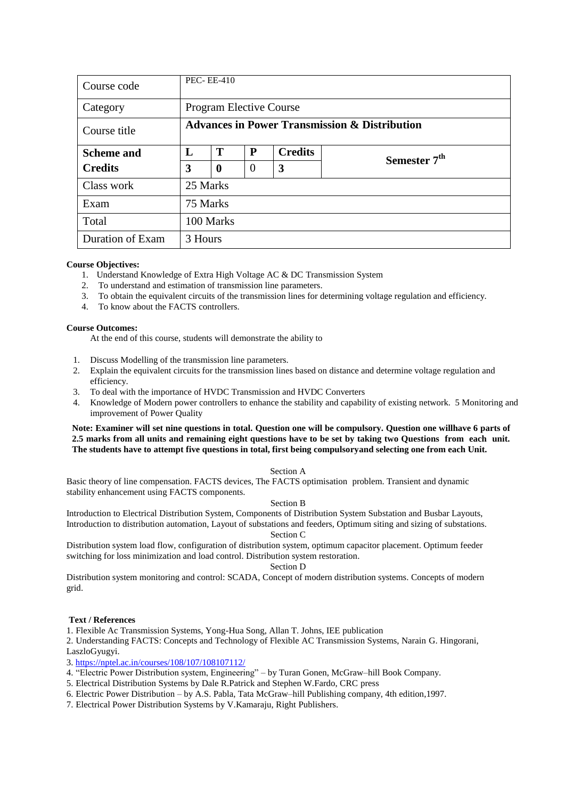| Course code       | <b>PEC-EE-410</b> |                                                          |          |                |                          |  |  |  |  |  |
|-------------------|-------------------|----------------------------------------------------------|----------|----------------|--------------------------|--|--|--|--|--|
| Category          |                   | <b>Program Elective Course</b>                           |          |                |                          |  |  |  |  |  |
| Course title      |                   | <b>Advances in Power Transmission &amp; Distribution</b> |          |                |                          |  |  |  |  |  |
| <b>Scheme and</b> | L                 | T                                                        | P        | <b>Credits</b> | Semester 7 <sup>th</sup> |  |  |  |  |  |
| <b>Credits</b>    | 3                 | $\boldsymbol{0}$                                         | $\theta$ | 3              |                          |  |  |  |  |  |
| Class work        | 25 Marks          |                                                          |          |                |                          |  |  |  |  |  |
| Exam              | 75 Marks          |                                                          |          |                |                          |  |  |  |  |  |
| Total             |                   | 100 Marks                                                |          |                |                          |  |  |  |  |  |
| Duration of Exam  | 3 Hours           |                                                          |          |                |                          |  |  |  |  |  |

- 1. Understand Knowledge of Extra High Voltage AC & DC Transmission System
- 2. To understand and estimation of transmission line parameters.
- 3. To obtain the equivalent circuits of the transmission lines for determining voltage regulation and efficiency.
- 4. To know about the FACTS controllers.

### **Course Outcomes:**

At the end of this course, students will demonstrate the ability to

- 1. Discuss Modelling of the transmission line parameters.
- 2. Explain the equivalent circuits for the transmission lines based on distance and determine voltage regulation and efficiency.
- 3. To deal with the importance of HVDC Transmission and HVDC Converters
- 4. Knowledge of Modern power controllers to enhance the stability and capability of existing network. 5 Monitoring and improvement of Power Quality

### **Note: Examiner will set nine questions in total. Question one will be compulsory. Question one willhave 6 parts of 2.5 marks from all units and remaining eight questions have to be set by taking two Questions from each unit. The students have to attempt five questions in total, first being compulsoryand selecting one from each Unit.**

### Section A

Basic theory of line compensation. FACTS devices, The FACTS optimisation problem. Transient and dynamic stability enhancement using FACTS components.

### Section B

Introduction to Electrical Distribution System, Components of Distribution System Substation and Busbar Layouts, Introduction to distribution automation, Layout of substations and feeders, Optimum siting and sizing of substations.

### Section C

Distribution system load flow, configuration of distribution system, optimum capacitor placement. Optimum feeder switching for loss minimization and load control. Distribution system restoration.

### Section D

Distribution system monitoring and control: SCADA, Concept of modern distribution systems. Concepts of modern grid.

### **Text / References**

1. Flexible Ac Transmission Systems, Yong-Hua Song, Allan T. Johns, IEE publication

2. Understanding FACTS: Concepts and Technology of Flexible AC Transmission Systems, Narain G. Hingorani, LaszloGyugyi.

3. https://nptel.ac.in/courses/108/107/108107112/

- 4. "Electric Power Distribution system, Engineering" by Turan Gonen, McGraw–hill Book Company.
- 5. Electrical Distribution Systems by Dale R.Patrick and Stephen W.Fardo, CRC press
- 6. Electric Power Distribution by A.S. Pabla, Tata McGraw–hill Publishing company, 4th edition,1997.
- 7. Electrical Power Distribution Systems by V.Kamaraju, Right Publishers.